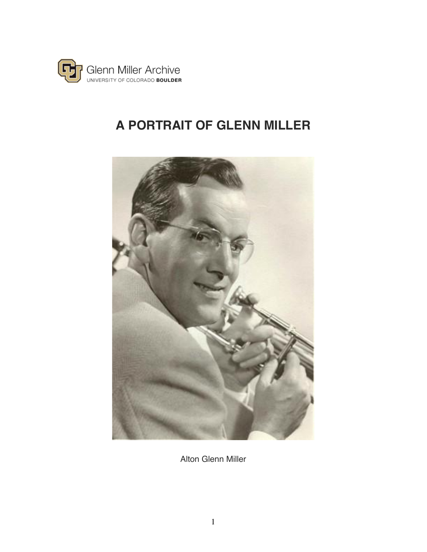

# **A PORTRAIT OF GLENN MILLER**



Alton Glenn Miller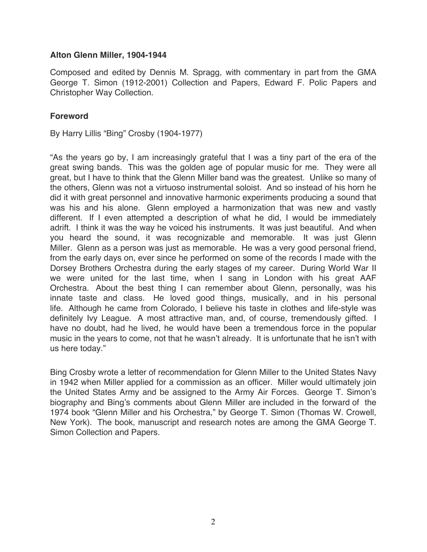#### **Alton Glenn Miller, 1904-1944**

Composed and edited by Dennis M. Spragg, with commentary in part from the GMA George T. Simon (1912-2001) Collection and Papers, Edward F. Polic Papers and Christopher Way Collection.

#### **Foreword**

By Harry Lillis "Bing" Crosby (1904-1977)

"As the years go by, I am increasingly grateful that I was a tiny part of the era of the great swing bands. This was the golden age of popular music for me. They were all great, but I have to think that the Glenn Miller band was the greatest. Unlike so many of the others, Glenn was not a virtuoso instrumental soloist. And so instead of his horn he did it with great personnel and innovative harmonic experiments producing a sound that was his and his alone. Glenn employed a harmonization that was new and vastly different. If I even attempted a description of what he did, I would be immediately adrift. I think it was the way he voiced his instruments. It was just beautiful. And when you heard the sound, it was recognizable and memorable. It was just Glenn Miller. Glenn as a person was just as memorable. He was a very good personal friend, from the early days on, ever since he performed on some of the records I made with the Dorsey Brothers Orchestra during the early stages of my career. During World War II we were united for the last time, when I sang in London with his great AAF Orchestra. About the best thing I can remember about Glenn, personally, was his innate taste and class. He loved good things, musically, and in his personal life. Although he came from Colorado, I believe his taste in clothes and life-style was definitely Ivy League. A most attractive man, and, of course, tremendously gifted. I have no doubt, had he lived, he would have been a tremendous force in the popular music in the years to come, not that he wasn't already. It is unfortunate that he isn't with us here today."

Bing Crosby wrote a letter of recommendation for Glenn Miller to the United States Navy in 1942 when Miller applied for a commission as an officer. Miller would ultimately join the United States Army and be assigned to the Army Air Forces. George T. Simon's biography and Bing's comments about Glenn Miller are included in the forward of the 1974 book "Glenn Miller and his Orchestra," by George T. Simon (Thomas W. Crowell, New York). The book, manuscript and research notes are among the GMA George T. Simon Collection and Papers.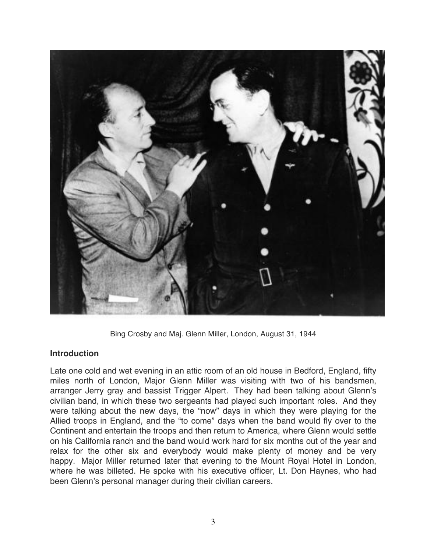

Bing Crosby and Maj. Glenn Miller, London, August 31, 1944

#### **Introduction**

Late one cold and wet evening in an attic room of an old house in Bedford, England, fifty miles north of London, Major Glenn Miller was visiting with two of his bandsmen, arranger Jerry gray and bassist Trigger Alpert. They had been talking about Glenn's civilian band, in which these two sergeants had played such important roles. And they were talking about the new days, the "now" days in which they were playing for the Allied troops in England, and the "to come" days when the band would fly over to the Continent and entertain the troops and then return to America, where Glenn would settle on his California ranch and the band would work hard for six months out of the year and relax for the other six and everybody would make plenty of money and be very happy. Major Miller returned later that evening to the Mount Royal Hotel in London, where he was billeted. He spoke with his executive officer, Lt. Don Haynes, who had been Glenn's personal manager during their civilian careers.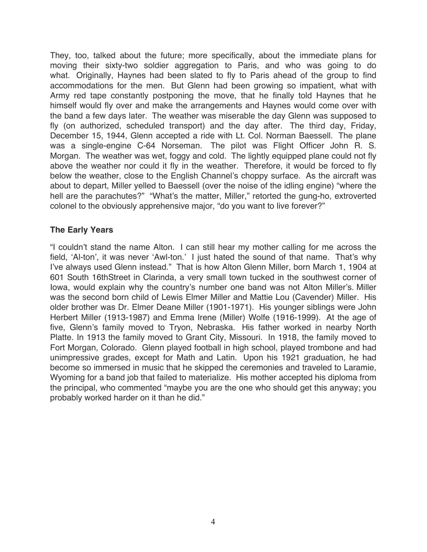They, too, talked about the future; more specifically, about the immediate plans for moving their sixty-two soldier aggregation to Paris, and who was going to do what. Originally, Haynes had been slated to fly to Paris ahead of the group to find accommodations for the men. But Glenn had been growing so impatient, what with Army red tape constantly postponing the move, that he finally told Haynes that he himself would fly over and make the arrangements and Haynes would come over with the band a few days later. The weather was miserable the day Glenn was supposed to fly (on authorized, scheduled transport) and the day after. The third day, Friday, December 15, 1944, Glenn accepted a ride with Lt. Col. Norman Baessell. The plane was a single-engine C-64 Norseman. The pilot was Flight Officer John R. S. Morgan. The weather was wet, foggy and cold. The lightly equipped plane could not fly above the weather nor could it fly in the weather. Therefore, it would be forced to fly below the weather, close to the English Channel's choppy surface. As the aircraft was about to depart, Miller yelled to Baessell (over the noise of the idling engine) "where the hell are the parachutes?" "What's the matter, Miller," retorted the gung-ho, extroverted colonel to the obviously apprehensive major, "do you want to live forever?"

# **The Early Years**

"I couldn't stand the name Alton. I can still hear my mother calling for me across the field, 'Al-ton', it was never 'Awl-ton.' I just hated the sound of that name. That's why I've always used Glenn instead." That is how Alton Glenn Miller, born March 1, 1904 at 601 South 16thStreet in Clarinda, a very small town tucked in the southwest corner of Iowa, would explain why the country's number one band was not Alton Miller's. Miller was the second born child of Lewis Elmer Miller and Mattie Lou (Cavender) Miller. His older brother was Dr. Elmer Deane Miller (1901-1971). His younger siblings were John Herbert Miller (1913-1987) and Emma Irene (Miller) Wolfe (1916-1999). At the age of five, Glenn's family moved to Tryon, Nebraska. His father worked in nearby North Platte. In 1913 the family moved to Grant City, Missouri. In 1918, the family moved to Fort Morgan, Colorado. Glenn played football in high school, played trombone and had unimpressive grades, except for Math and Latin. Upon his 1921 graduation, he had become so immersed in music that he skipped the ceremonies and traveled to Laramie, Wyoming for a band job that failed to materialize. His mother accepted his diploma from the principal, who commented "maybe you are the one who should get this anyway; you probably worked harder on it than he did."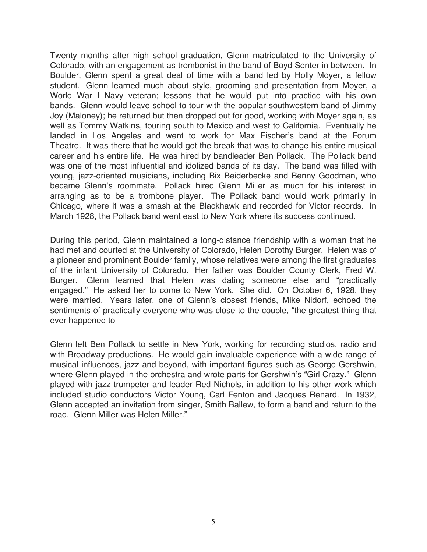Twenty months after high school graduation, Glenn matriculated to the University of Colorado, with an engagement as trombonist in the band of Boyd Senter in between. In Boulder, Glenn spent a great deal of time with a band led by Holly Moyer, a fellow student. Glenn learned much about style, grooming and presentation from Moyer, a World War I Navy veteran; lessons that he would put into practice with his own bands. Glenn would leave school to tour with the popular southwestern band of Jimmy Joy (Maloney); he returned but then dropped out for good, working with Moyer again, as well as Tommy Watkins, touring south to Mexico and west to California. Eventually he landed in Los Angeles and went to work for Max Fischer's band at the Forum Theatre. It was there that he would get the break that was to change his entire musical career and his entire life. He was hired by bandleader Ben Pollack. The Pollack band was one of the most influential and idolized bands of its day. The band was filled with young, jazz-oriented musicians, including Bix Beiderbecke and Benny Goodman, who became Glenn's roommate. Pollack hired Glenn Miller as much for his interest in arranging as to be a trombone player. The Pollack band would work primarily in Chicago, where it was a smash at the Blackhawk and recorded for Victor records. In March 1928, the Pollack band went east to New York where its success continued.

During this period, Glenn maintained a long-distance friendship with a woman that he had met and courted at the University of Colorado, Helen Dorothy Burger. Helen was of a pioneer and prominent Boulder family, whose relatives were among the first graduates of the infant University of Colorado. Her father was Boulder County Clerk, Fred W. Burger. Glenn learned that Helen was dating someone else and "practically engaged." He asked her to come to New York. She did. On October 6, 1928, they were married. Years later, one of Glenn's closest friends, Mike Nidorf, echoed the sentiments of practically everyone who was close to the couple, "the greatest thing that ever happened to

Glenn left Ben Pollack to settle in New York, working for recording studios, radio and with Broadway productions. He would gain invaluable experience with a wide range of musical influences, jazz and beyond, with important figures such as George Gershwin, where Glenn played in the orchestra and wrote parts for Gershwin's "Girl Crazy." Glenn played with jazz trumpeter and leader Red Nichols, in addition to his other work which included studio conductors Victor Young, Carl Fenton and Jacques Renard. In 1932, Glenn accepted an invitation from singer, Smith Ballew, to form a band and return to the road. Glenn Miller was Helen Miller."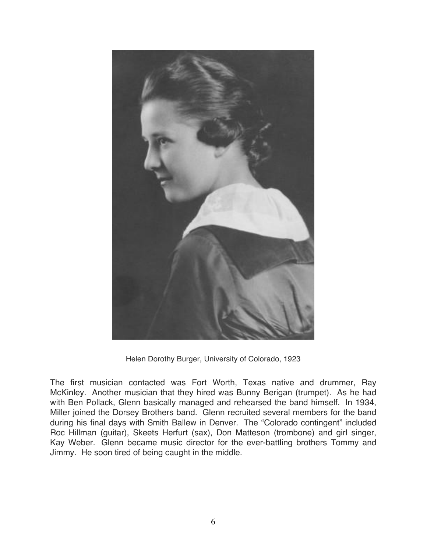

Helen Dorothy Burger, University of Colorado, 1923

The first musician contacted was Fort Worth, Texas native and drummer, Ray McKinley. Another musician that they hired was Bunny Berigan (trumpet). As he had with Ben Pollack, Glenn basically managed and rehearsed the band himself. In 1934, Miller joined the Dorsey Brothers band. Glenn recruited several members for the band during his final days with Smith Ballew in Denver. The "Colorado contingent" included Roc Hillman (guitar), Skeets Herfurt (sax), Don Matteson (trombone) and girl singer, Kay Weber. Glenn became music director for the ever-battling brothers Tommy and Jimmy. He soon tired of being caught in the middle.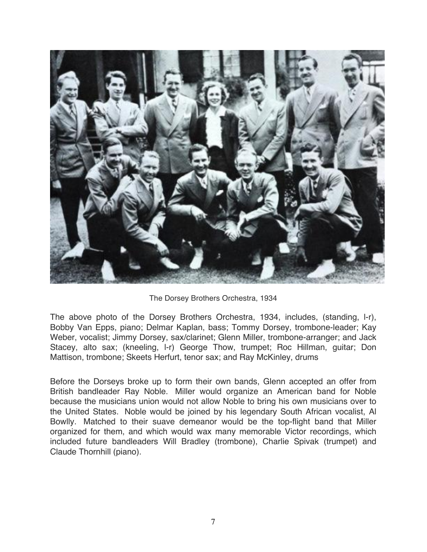

The Dorsey Brothers Orchestra, 1934

The above photo of the Dorsey Brothers Orchestra, 1934, includes, (standing, l-r), Bobby Van Epps, piano; Delmar Kaplan, bass; Tommy Dorsey, trombone-leader; Kay Weber, vocalist; Jimmy Dorsey, sax/clarinet; Glenn Miller, trombone-arranger; and Jack Stacey, alto sax; (kneeling, l-r) George Thow, trumpet; Roc Hillman, guitar; Don Mattison, trombone; Skeets Herfurt, tenor sax; and Ray McKinley, drums

Before the Dorseys broke up to form their own bands, Glenn accepted an offer from British bandleader Ray Noble. Miller would organize an American band for Noble because the musicians union would not allow Noble to bring his own musicians over to the United States. Noble would be joined by his legendary South African vocalist, Al Bowlly. Matched to their suave demeanor would be the top-flight band that Miller organized for them, and which would wax many memorable Victor recordings, which included future bandleaders Will Bradley (trombone), Charlie Spivak (trumpet) and Claude Thornhill (piano).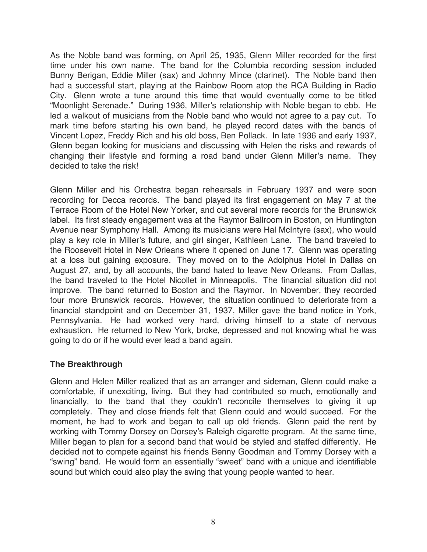As the Noble band was forming, on April 25, 1935, Glenn Miller recorded for the first time under his own name. The band for the Columbia recording session included Bunny Berigan, Eddie Miller (sax) and Johnny Mince (clarinet). The Noble band then had a successful start, playing at the Rainbow Room atop the RCA Building in Radio City. Glenn wrote a tune around this time that would eventually come to be titled "Moonlight Serenade." During 1936, Miller's relationship with Noble began to ebb. He led a walkout of musicians from the Noble band who would not agree to a pay cut. To mark time before starting his own band, he played record dates with the bands of Vincent Lopez, Freddy Rich and his old boss, Ben Pollack. In late 1936 and early 1937, Glenn began looking for musicians and discussing with Helen the risks and rewards of changing their lifestyle and forming a road band under Glenn Miller's name. They decided to take the risk!

Glenn Miller and his Orchestra began rehearsals in February 1937 and were soon recording for Decca records. The band played its first engagement on May 7 at the Terrace Room of the Hotel New Yorker, and cut several more records for the Brunswick label. Its first steady engagement was at the Raymor Ballroom in Boston, on Huntington Avenue near Symphony Hall. Among its musicians were Hal McIntyre (sax), who would play a key role in Miller's future, and girl singer, Kathleen Lane. The band traveled to the Roosevelt Hotel in New Orleans where it opened on June 17. Glenn was operating at a loss but gaining exposure. They moved on to the Adolphus Hotel in Dallas on August 27, and, by all accounts, the band hated to leave New Orleans. From Dallas, the band traveled to the Hotel Nicollet in Minneapolis. The financial situation did not improve. The band returned to Boston and the Raymor. In November, they recorded four more Brunswick records. However, the situation continued to deteriorate from a financial standpoint and on December 31, 1937, Miller gave the band notice in York, Pennsylvania. He had worked very hard, driving himself to a state of nervous exhaustion. He returned to New York, broke, depressed and not knowing what he was going to do or if he would ever lead a band again.

#### **The Breakthrough**

Glenn and Helen Miller realized that as an arranger and sideman, Glenn could make a comfortable, if unexciting, living. But they had contributed so much, emotionally and financially, to the band that they couldn't reconcile themselves to giving it up completely. They and close friends felt that Glenn could and would succeed. For the moment, he had to work and began to call up old friends. Glenn paid the rent by working with Tommy Dorsey on Dorsey's Raleigh cigarette program. At the same time, Miller began to plan for a second band that would be styled and staffed differently. He decided not to compete against his friends Benny Goodman and Tommy Dorsey with a "swing" band. He would form an essentially "sweet" band with a unique and identifiable sound but which could also play the swing that young people wanted to hear.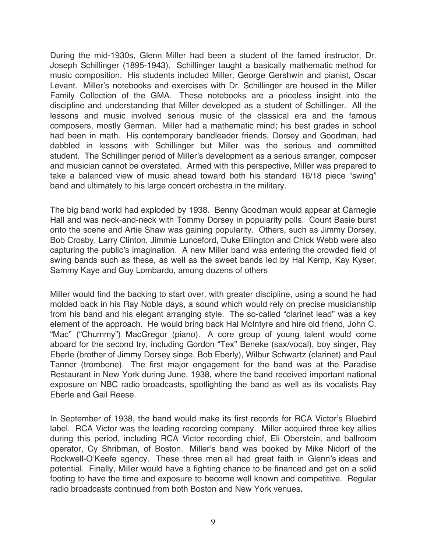During the mid-1930s, Glenn Miller had been a student of the famed instructor, Dr. Joseph Schillinger (1895-1943). Schillinger taught a basically mathematic method for music composition. His students included Miller, George Gershwin and pianist, Oscar Levant. Miller's notebooks and exercises with Dr. Schillinger are housed in the Miller Family Collection of the GMA. These notebooks are a priceless insight into the discipline and understanding that Miller developed as a student of Schillinger. All the lessons and music involved serious music of the classical era and the famous composers, mostly German. Miller had a mathematic mind; his best grades in school had been in math. His contemporary bandleader friends, Dorsey and Goodman, had dabbled in lessons with Schillinger but Miller was the serious and committed student. The Schillinger period of Miller's development as a serious arranger, composer and musician cannot be overstated. Armed with this perspective, Miller was prepared to take a balanced view of music ahead toward both his standard 16/18 piece "swing" band and ultimately to his large concert orchestra in the military.

The big band world had exploded by 1938. Benny Goodman would appear at Carnegie Hall and was neck-and-neck with Tommy Dorsey in popularity polls. Count Basie burst onto the scene and Artie Shaw was gaining popularity. Others, such as Jimmy Dorsey, Bob Crosby, Larry Clinton, Jimmie Lunceford, Duke Ellington and Chick Webb were also capturing the public's imagination. A new Miller band was entering the crowded field of swing bands such as these, as well as the sweet bands led by Hal Kemp, Kay Kyser, Sammy Kaye and Guy Lombardo, among dozens of others

Miller would find the backing to start over, with greater discipline, using a sound he had molded back in his Ray Noble days, a sound which would rely on precise musicianship from his band and his elegant arranging style. The so-called "clarinet lead" was a key element of the approach. He would bring back Hal McIntyre and hire old friend, John C. "Mac" ("Chummy") MacGregor (piano). A core group of young talent would come aboard for the second try, including Gordon "Tex" Beneke (sax/vocal), boy singer, Ray Eberle (brother of Jimmy Dorsey singe, Bob Eberly), Wilbur Schwartz (clarinet) and Paul Tanner (trombone). The first major engagement for the band was at the Paradise Restaurant in New York during June, 1938, where the band received important national exposure on NBC radio broadcasts, spotlighting the band as well as its vocalists Ray Eberle and Gail Reese.

In September of 1938, the band would make its first records for RCA Victor's Bluebird label. RCA Victor was the leading recording company. Miller acquired three key allies during this period, including RCA Victor recording chief, Eli Oberstein, and ballroom operator, Cy Shribman, of Boston. Miller's band was booked by Mike Nidorf of the Rockwell-O'Keefe agency. These three men all had great faith in Glenn's ideas and potential. Finally, Miller would have a fighting chance to be financed and get on a solid footing to have the time and exposure to become well known and competitive. Regular radio broadcasts continued from both Boston and New York venues.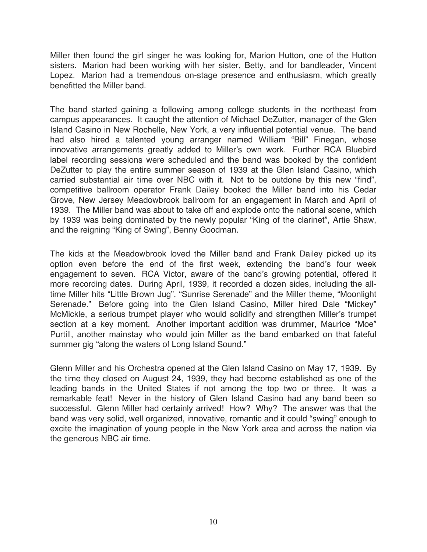Miller then found the girl singer he was looking for, Marion Hutton, one of the Hutton sisters. Marion had been working with her sister, Betty, and for bandleader, Vincent Lopez. Marion had a tremendous on-stage presence and enthusiasm, which greatly benefitted the Miller band.

The band started gaining a following among college students in the northeast from campus appearances. It caught the attention of Michael DeZutter, manager of the Glen Island Casino in New Rochelle, New York, a very influential potential venue. The band had also hired a talented young arranger named William "Bill" Finegan, whose innovative arrangements greatly added to Miller's own work. Further RCA Bluebird label recording sessions were scheduled and the band was booked by the confident DeZutter to play the entire summer season of 1939 at the Glen Island Casino, which carried substantial air time over NBC with it. Not to be outdone by this new "find", competitive ballroom operator Frank Dailey booked the Miller band into his Cedar Grove, New Jersey Meadowbrook ballroom for an engagement in March and April of 1939. The Miller band was about to take off and explode onto the national scene, which by 1939 was being dominated by the newly popular "King of the clarinet", Artie Shaw, and the reigning "King of Swing", Benny Goodman.

The kids at the Meadowbrook loved the Miller band and Frank Dailey picked up its option even before the end of the first week, extending the band's four week engagement to seven. RCA Victor, aware of the band's growing potential, offered it more recording dates. During April, 1939, it recorded a dozen sides, including the alltime Miller hits "Little Brown Jug", "Sunrise Serenade" and the Miller theme, "Moonlight Serenade." Before going into the Glen Island Casino, Miller hired Dale "Mickey" McMickle, a serious trumpet player who would solidify and strengthen Miller's trumpet section at a key moment. Another important addition was drummer, Maurice "Moe" Purtill, another mainstay who would join Miller as the band embarked on that fateful summer gig "along the waters of Long Island Sound."

Glenn Miller and his Orchestra opened at the Glen Island Casino on May 17, 1939. By the time they closed on August 24, 1939, they had become established as one of the leading bands in the United States if not among the top two or three. It was a remarkable feat! Never in the history of Glen Island Casino had any band been so successful. Glenn Miller had certainly arrived! How? Why? The answer was that the band was very solid, well organized, innovative, romantic and it could "swing" enough to excite the imagination of young people in the New York area and across the nation via the generous NBC air time.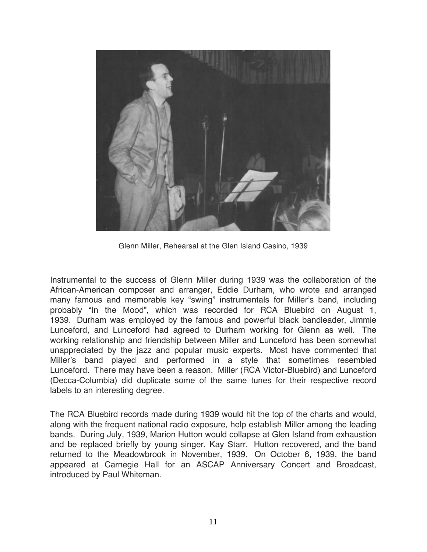

Glenn Miller, Rehearsal at the Glen Island Casino, 1939

Instrumental to the success of Glenn Miller during 1939 was the collaboration of the African-American composer and arranger, Eddie Durham, who wrote and arranged many famous and memorable key "swing" instrumentals for Miller's band, including probably "In the Mood", which was recorded for RCA Bluebird on August 1, 1939. Durham was employed by the famous and powerful black bandleader, Jimmie Lunceford, and Lunceford had agreed to Durham working for Glenn as well. The working relationship and friendship between Miller and Lunceford has been somewhat unappreciated by the jazz and popular music experts. Most have commented that Miller's band played and performed in a style that sometimes resembled Lunceford. There may have been a reason. Miller (RCA Victor-Bluebird) and Lunceford (Decca-Columbia) did duplicate some of the same tunes for their respective record labels to an interesting degree.

The RCA Bluebird records made during 1939 would hit the top of the charts and would, along with the frequent national radio exposure, help establish Miller among the leading bands. During July, 1939, Marion Hutton would collapse at Glen Island from exhaustion and be replaced briefly by young singer, Kay Starr. Hutton recovered, and the band returned to the Meadowbrook in November, 1939. On October 6, 1939, the band appeared at Carnegie Hall for an ASCAP Anniversary Concert and Broadcast, introduced by Paul Whiteman.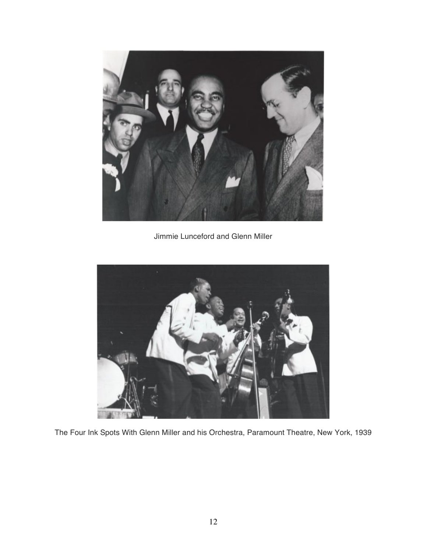

Jimmie Lunceford and Glenn Miller



The Four Ink Spots With Glenn Miller and his Orchestra, Paramount Theatre, New York, 1939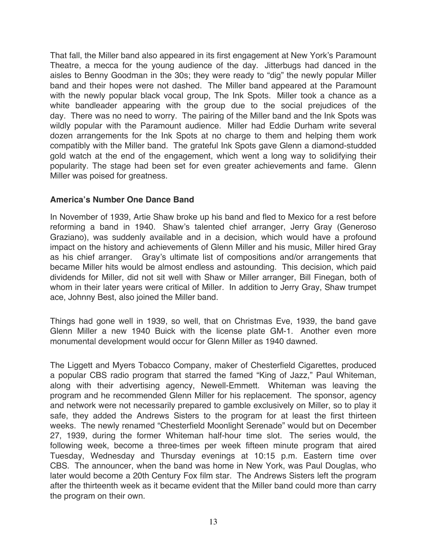That fall, the Miller band also appeared in its first engagement at New York's Paramount Theatre, a mecca for the young audience of the day. Jitterbugs had danced in the aisles to Benny Goodman in the 30s; they were ready to "dig" the newly popular Miller band and their hopes were not dashed. The Miller band appeared at the Paramount with the newly popular black vocal group, The Ink Spots. Miller took a chance as a white bandleader appearing with the group due to the social prejudices of the day. There was no need to worry. The pairing of the Miller band and the Ink Spots was wildly popular with the Paramount audience. Miller had Eddie Durham write several dozen arrangements for the Ink Spots at no charge to them and helping them work compatibly with the Miller band. The grateful Ink Spots gave Glenn a diamond-studded gold watch at the end of the engagement, which went a long way to solidifying their popularity. The stage had been set for even greater achievements and fame. Glenn Miller was poised for greatness.

## **America's Number One Dance Band**

In November of 1939, Artie Shaw broke up his band and fled to Mexico for a rest before reforming a band in 1940. Shaw's talented chief arranger, Jerry Gray (Generoso Graziano), was suddenly available and in a decision, which would have a profound impact on the history and achievements of Glenn Miller and his music, Miller hired Gray as his chief arranger. Gray's ultimate list of compositions and/or arrangements that became Miller hits would be almost endless and astounding. This decision, which paid dividends for Miller, did not sit well with Shaw or Miller arranger, Bill Finegan, both of whom in their later years were critical of Miller. In addition to Jerry Gray, Shaw trumpet ace, Johnny Best, also joined the Miller band.

Things had gone well in 1939, so well, that on Christmas Eve, 1939, the band gave Glenn Miller a new 1940 Buick with the license plate GM-1. Another even more monumental development would occur for Glenn Miller as 1940 dawned.

The Liggett and Myers Tobacco Company, maker of Chesterfield Cigarettes, produced a popular CBS radio program that starred the famed "King of Jazz," Paul Whiteman, along with their advertising agency, Newell-Emmett. Whiteman was leaving the program and he recommended Glenn Miller for his replacement. The sponsor, agency and network were not necessarily prepared to gamble exclusively on Miller, so to play it safe, they added the Andrews Sisters to the program for at least the first thirteen weeks. The newly renamed "Chesterfield Moonlight Serenade" would but on December 27, 1939, during the former Whiteman half-hour time slot. The series would, the following week, become a three-times per week fifteen minute program that aired Tuesday, Wednesday and Thursday evenings at 10:15 p.m. Eastern time over CBS. The announcer, when the band was home in New York, was Paul Douglas, who later would become a 20th Century Fox film star. The Andrews Sisters left the program after the thirteenth week as it became evident that the Miller band could more than carry the program on their own.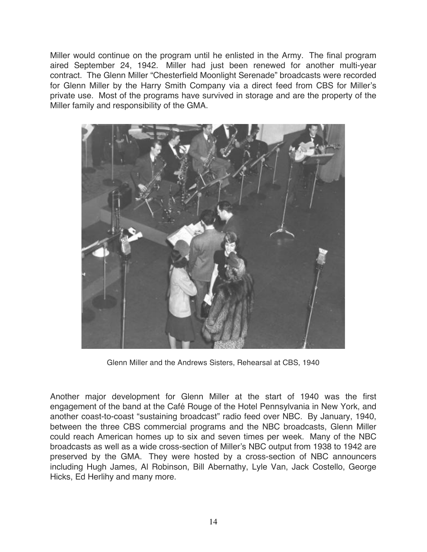Miller would continue on the program until he enlisted in the Army. The final program aired September 24, 1942. Miller had just been renewed for another multi-year contract. The Glenn Miller "Chesterfield Moonlight Serenade" broadcasts were recorded for Glenn Miller by the Harry Smith Company via a direct feed from CBS for Miller's private use. Most of the programs have survived in storage and are the property of the Miller family and responsibility of the GMA.



Glenn Miller and the Andrews Sisters, Rehearsal at CBS, 1940

Another major development for Glenn Miller at the start of 1940 was the first engagement of the band at the Café Rouge of the Hotel Pennsylvania in New York, and another coast-to-coast "sustaining broadcast" radio feed over NBC. By January, 1940, between the three CBS commercial programs and the NBC broadcasts, Glenn Miller could reach American homes up to six and seven times per week. Many of the NBC broadcasts as well as a wide cross-section of Miller's NBC output from 1938 to 1942 are preserved by the GMA. They were hosted by a cross-section of NBC announcers including Hugh James, Al Robinson, Bill Abernathy, Lyle Van, Jack Costello, George Hicks, Ed Herlihy and many more.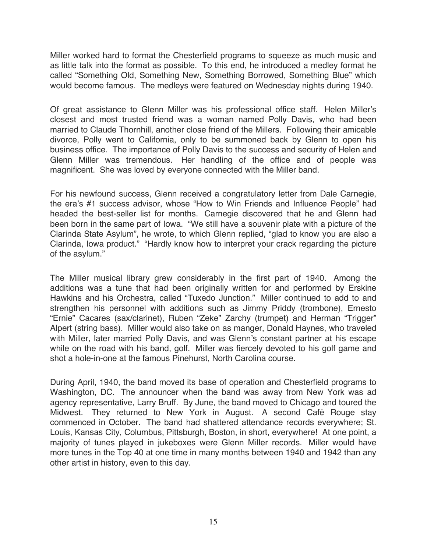Miller worked hard to format the Chesterfield programs to squeeze as much music and as little talk into the format as possible. To this end, he introduced a medley format he called "Something Old, Something New, Something Borrowed, Something Blue" which would become famous. The medleys were featured on Wednesday nights during 1940.

Of great assistance to Glenn Miller was his professional office staff. Helen Miller's closest and most trusted friend was a woman named Polly Davis, who had been married to Claude Thornhill, another close friend of the Millers. Following their amicable divorce, Polly went to California, only to be summoned back by Glenn to open his business office. The importance of Polly Davis to the success and security of Helen and Glenn Miller was tremendous. Her handling of the office and of people was magnificent. She was loved by everyone connected with the Miller band.

For his newfound success, Glenn received a congratulatory letter from Dale Carnegie, the era's #1 success advisor, whose "How to Win Friends and Influence People" had headed the best-seller list for months. Carnegie discovered that he and Glenn had been born in the same part of Iowa. "We still have a souvenir plate with a picture of the Clarinda State Asylum", he wrote, to which Glenn replied, "glad to know you are also a Clarinda, Iowa product." "Hardly know how to interpret your crack regarding the picture of the asylum."

The Miller musical library grew considerably in the first part of 1940. Among the additions was a tune that had been originally written for and performed by Erskine Hawkins and his Orchestra, called "Tuxedo Junction." Miller continued to add to and strengthen his personnel with additions such as Jimmy Priddy (trombone), Ernesto "Ernie" Cacares (sax/clarinet), Ruben "Zeke" Zarchy (trumpet) and Herman "Trigger" Alpert (string bass). Miller would also take on as manger, Donald Haynes, who traveled with Miller, later married Polly Davis, and was Glenn's constant partner at his escape while on the road with his band, golf. Miller was fiercely devoted to his golf game and shot a hole-in-one at the famous Pinehurst, North Carolina course.

During April, 1940, the band moved its base of operation and Chesterfield programs to Washington, DC. The announcer when the band was away from New York was ad agency representative, Larry Bruff. By June, the band moved to Chicago and toured the Midwest. They returned to New York in August. A second Café Rouge stay commenced in October. The band had shattered attendance records everywhere; St. Louis, Kansas City, Columbus, Pittsburgh, Boston, in short, everywhere! At one point, a majority of tunes played in jukeboxes were Glenn Miller records. Miller would have more tunes in the Top 40 at one time in many months between 1940 and 1942 than any other artist in history, even to this day.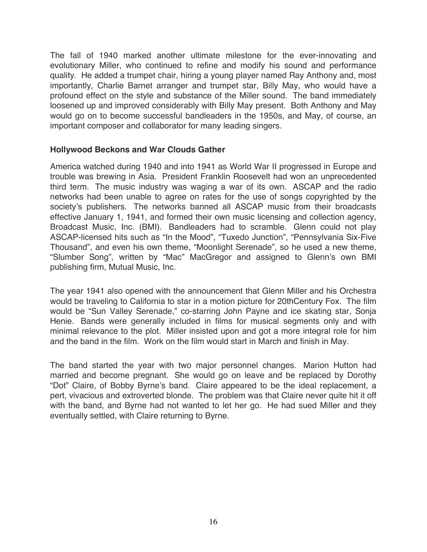The fall of 1940 marked another ultimate milestone for the ever-innovating and evolutionary Miller, who continued to refine and modify his sound and performance quality. He added a trumpet chair, hiring a young player named Ray Anthony and, most importantly, Charlie Barnet arranger and trumpet star, Billy May, who would have a profound effect on the style and substance of the Miller sound. The band immediately loosened up and improved considerably with Billy May present. Both Anthony and May would go on to become successful bandleaders in the 1950s, and May, of course, an important composer and collaborator for many leading singers.

#### **Hollywood Beckons and War Clouds Gather**

America watched during 1940 and into 1941 as World War II progressed in Europe and trouble was brewing in Asia. President Franklin Roosevelt had won an unprecedented third term. The music industry was waging a war of its own. ASCAP and the radio networks had been unable to agree on rates for the use of songs copyrighted by the society's publishers. The networks banned all ASCAP music from their broadcasts effective January 1, 1941, and formed their own music licensing and collection agency, Broadcast Music, Inc. (BMI). Bandleaders had to scramble. Glenn could not play ASCAP-licensed hits such as "In the Mood", "Tuxedo Junction", "Pennsylvania Six-Five Thousand", and even his own theme, "Moonlight Serenade", so he used a new theme, "Slumber Song", written by "Mac" MacGregor and assigned to Glenn's own BMI publishing firm, Mutual Music, Inc.

The year 1941 also opened with the announcement that Glenn Miller and his Orchestra would be traveling to California to star in a motion picture for 20thCentury Fox. The film would be "Sun Valley Serenade," co-starring John Payne and ice skating star, Sonja Henie. Bands were generally included in films for musical segments only and with minimal relevance to the plot. Miller insisted upon and got a more integral role for him and the band in the film. Work on the film would start in March and finish in May.

The band started the year with two major personnel changes. Marion Hutton had married and become pregnant. She would go on leave and be replaced by Dorothy "Dot" Claire, of Bobby Byrne's band. Claire appeared to be the ideal replacement, a pert, vivacious and extroverted blonde. The problem was that Claire never quite hit it off with the band, and Byrne had not wanted to let her go. He had sued Miller and they eventually settled, with Claire returning to Byrne.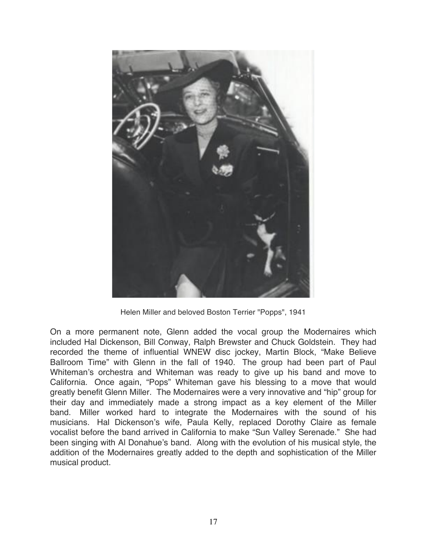

Helen Miller and beloved Boston Terrier "Popps", 1941

On a more permanent note, Glenn added the vocal group the Modernaires which included Hal Dickenson, Bill Conway, Ralph Brewster and Chuck Goldstein. They had recorded the theme of influential WNEW disc jockey, Martin Block, "Make Believe Ballroom Time" with Glenn in the fall of 1940. The group had been part of Paul Whiteman's orchestra and Whiteman was ready to give up his band and move to California. Once again, "Pops" Whiteman gave his blessing to a move that would greatly benefit Glenn Miller. The Modernaires were a very innovative and "hip" group for their day and immediately made a strong impact as a key element of the Miller band. Miller worked hard to integrate the Modernaires with the sound of his musicians. Hal Dickenson's wife, Paula Kelly, replaced Dorothy Claire as female vocalist before the band arrived in California to make "Sun Valley Serenade." She had been singing with Al Donahue's band. Along with the evolution of his musical style, the addition of the Modernaires greatly added to the depth and sophistication of the Miller musical product.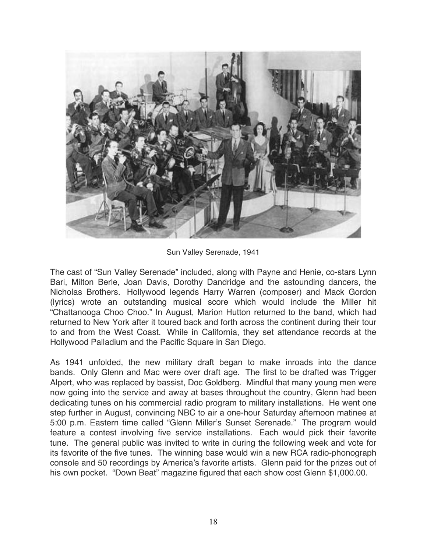

Sun Valley Serenade, 1941

The cast of "Sun Valley Serenade" included, along with Payne and Henie, co-stars Lynn Bari, Milton Berle, Joan Davis, Dorothy Dandridge and the astounding dancers, the Nicholas Brothers. Hollywood legends Harry Warren (composer) and Mack Gordon (lyrics) wrote an outstanding musical score which would include the Miller hit "Chattanooga Choo Choo." In August, Marion Hutton returned to the band, which had returned to New York after it toured back and forth across the continent during their tour to and from the West Coast. While in California, they set attendance records at the Hollywood Palladium and the Pacific Square in San Diego.

As 1941 unfolded, the new military draft began to make inroads into the dance bands. Only Glenn and Mac were over draft age. The first to be drafted was Trigger Alpert, who was replaced by bassist, Doc Goldberg. Mindful that many young men were now going into the service and away at bases throughout the country, Glenn had been dedicating tunes on his commercial radio program to military installations. He went one step further in August, convincing NBC to air a one-hour Saturday afternoon matinee at 5:00 p.m. Eastern time called "Glenn Miller's Sunset Serenade." The program would feature a contest involving five service installations. Each would pick their favorite tune. The general public was invited to write in during the following week and vote for its favorite of the five tunes. The winning base would win a new RCA radio-phonograph console and 50 recordings by America's favorite artists. Glenn paid for the prizes out of his own pocket. "Down Beat" magazine figured that each show cost Glenn \$1,000.00.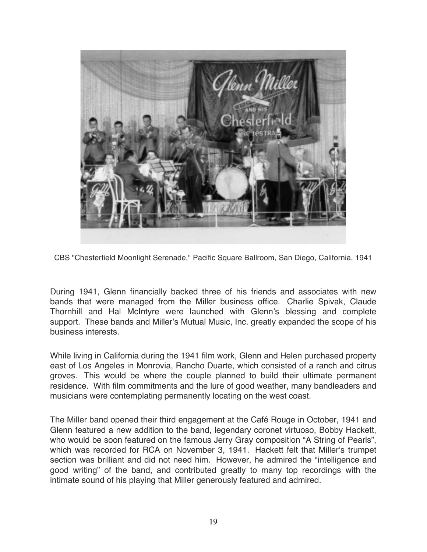

CBS "Chesterfield Moonlight Serenade," Pacific Square Ballroom, San Diego, California, 1941

During 1941, Glenn financially backed three of his friends and associates with new bands that were managed from the Miller business office. Charlie Spivak, Claude Thornhill and Hal McIntyre were launched with Glenn's blessing and complete support. These bands and Miller's Mutual Music, Inc. greatly expanded the scope of his business interests.

While living in California during the 1941 film work, Glenn and Helen purchased property east of Los Angeles in Monrovia, Rancho Duarte, which consisted of a ranch and citrus groves. This would be where the couple planned to build their ultimate permanent residence. With film commitments and the lure of good weather, many bandleaders and musicians were contemplating permanently locating on the west coast.

The Miller band opened their third engagement at the Café Rouge in October, 1941 and Glenn featured a new addition to the band, legendary coronet virtuoso, Bobby Hackett, who would be soon featured on the famous Jerry Gray composition "A String of Pearls", which was recorded for RCA on November 3, 1941. Hackett felt that Miller's trumpet section was brilliant and did not need him. However, he admired the "intelligence and good writing" of the band, and contributed greatly to many top recordings with the intimate sound of his playing that Miller generously featured and admired.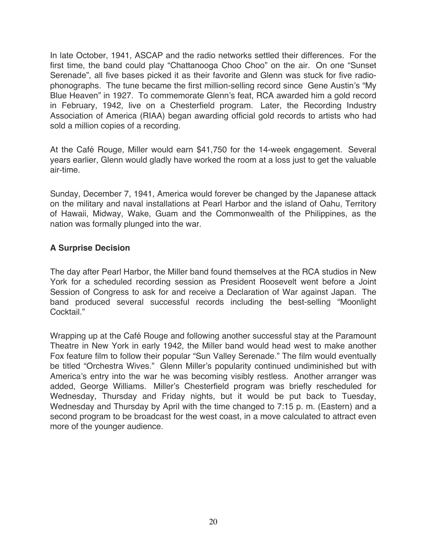In late October, 1941, ASCAP and the radio networks settled their differences. For the first time, the band could play "Chattanooga Choo Choo" on the air. On one "Sunset Serenade", all five bases picked it as their favorite and Glenn was stuck for five radiophonographs. The tune became the first million-selling record since Gene Austin's "My Blue Heaven" in 1927. To commemorate Glenn's feat, RCA awarded him a gold record in February, 1942, live on a Chesterfield program. Later, the Recording Industry Association of America (RIAA) began awarding official gold records to artists who had sold a million copies of a recording.

At the Café Rouge, Miller would earn \$41,750 for the 14-week engagement. Several years earlier, Glenn would gladly have worked the room at a loss just to get the valuable air-time.

Sunday, December 7, 1941, America would forever be changed by the Japanese attack on the military and naval installations at Pearl Harbor and the island of Oahu, Territory of Hawaii, Midway, Wake, Guam and the Commonwealth of the Philippines, as the nation was formally plunged into the war.

## **A Surprise Decision**

The day after Pearl Harbor, the Miller band found themselves at the RCA studios in New York for a scheduled recording session as President Roosevelt went before a Joint Session of Congress to ask for and receive a Declaration of War against Japan. The band produced several successful records including the best-selling "Moonlight Cocktail<sup>"</sup>

Wrapping up at the Café Rouge and following another successful stay at the Paramount Theatre in New York in early 1942, the Miller band would head west to make another Fox feature film to follow their popular "Sun Valley Serenade." The film would eventually be titled "Orchestra Wives." Glenn Miller's popularity continued undiminished but with America's entry into the war he was becoming visibly restless. Another arranger was added, George Williams. Miller's Chesterfield program was briefly rescheduled for Wednesday, Thursday and Friday nights, but it would be put back to Tuesday, Wednesday and Thursday by April with the time changed to 7:15 p. m. (Eastern) and a second program to be broadcast for the west coast, in a move calculated to attract even more of the younger audience.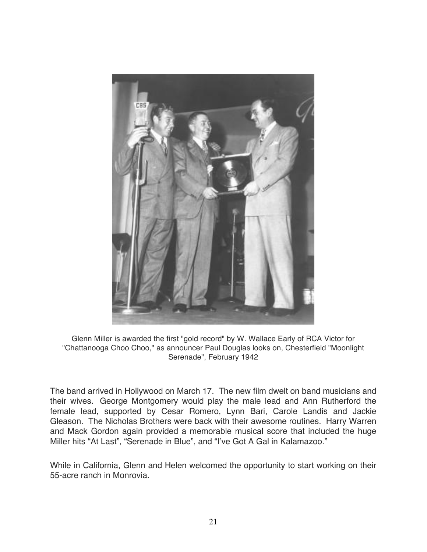

Glenn Miller is awarded the first "gold record" by W. Wallace Early of RCA Victor for "Chattanooga Choo Choo," as announcer Paul Douglas looks on, Chesterfield "Moonlight Serenade", February 1942

The band arrived in Hollywood on March 17. The new film dwelt on band musicians and their wives. George Montgomery would play the male lead and Ann Rutherford the female lead, supported by Cesar Romero, Lynn Bari, Carole Landis and Jackie Gleason. The Nicholas Brothers were back with their awesome routines. Harry Warren and Mack Gordon again provided a memorable musical score that included the huge Miller hits "At Last", "Serenade in Blue", and "I've Got A Gal in Kalamazoo."

While in California, Glenn and Helen welcomed the opportunity to start working on their 55-acre ranch in Monrovia.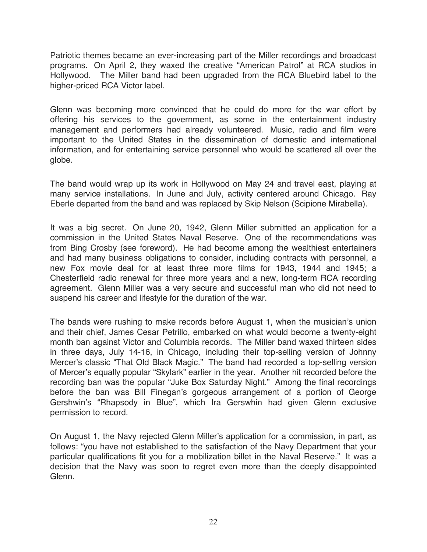Patriotic themes became an ever-increasing part of the Miller recordings and broadcast programs. On April 2, they waxed the creative "American Patrol" at RCA studios in Hollywood. The Miller band had been upgraded from the RCA Bluebird label to the higher-priced RCA Victor label.

Glenn was becoming more convinced that he could do more for the war effort by offering his services to the government, as some in the entertainment industry management and performers had already volunteered. Music, radio and film were important to the United States in the dissemination of domestic and international information, and for entertaining service personnel who would be scattered all over the globe.

The band would wrap up its work in Hollywood on May 24 and travel east, playing at many service installations. In June and July, activity centered around Chicago. Ray Eberle departed from the band and was replaced by Skip Nelson (Scipione Mirabella).

It was a big secret. On June 20, 1942, Glenn Miller submitted an application for a commission in the United States Naval Reserve. One of the recommendations was from Bing Crosby (see foreword). He had become among the wealthiest entertainers and had many business obligations to consider, including contracts with personnel, a new Fox movie deal for at least three more films for 1943, 1944 and 1945; a Chesterfield radio renewal for three more years and a new, long-term RCA recording agreement. Glenn Miller was a very secure and successful man who did not need to suspend his career and lifestyle for the duration of the war.

The bands were rushing to make records before August 1, when the musician's union and their chief, James Cesar Petrillo, embarked on what would become a twenty-eight month ban against Victor and Columbia records. The Miller band waxed thirteen sides in three days, July 14-16, in Chicago, including their top-selling version of Johnny Mercer's classic "That Old Black Magic." The band had recorded a top-selling version of Mercer's equally popular "Skylark" earlier in the year. Another hit recorded before the recording ban was the popular "Juke Box Saturday Night." Among the final recordings before the ban was Bill Finegan's gorgeous arrangement of a portion of George Gershwin's "Rhapsody in Blue", which Ira Gerswhin had given Glenn exclusive permission to record.

On August 1, the Navy rejected Glenn Miller's application for a commission, in part, as follows: "you have not established to the satisfaction of the Navy Department that your particular qualifications fit you for a mobilization billet in the Naval Reserve." It was a decision that the Navy was soon to regret even more than the deeply disappointed Glenn.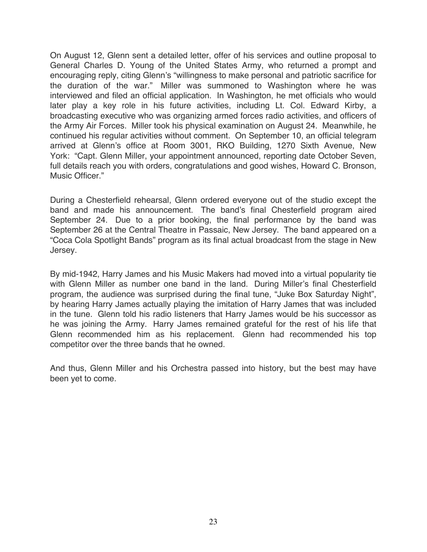On August 12, Glenn sent a detailed letter, offer of his services and outline proposal to General Charles D. Young of the United States Army, who returned a prompt and encouraging reply, citing Glenn's "willingness to make personal and patriotic sacrifice for the duration of the war." Miller was summoned to Washington where he was interviewed and filed an official application. In Washington, he met officials who would later play a key role in his future activities, including Lt. Col. Edward Kirby, a broadcasting executive who was organizing armed forces radio activities, and officers of the Army Air Forces. Miller took his physical examination on August 24. Meanwhile, he continued his regular activities without comment. On September 10, an official telegram arrived at Glenn's office at Room 3001, RKO Building, 1270 Sixth Avenue, New York: "Capt. Glenn Miller, your appointment announced, reporting date October Seven, full details reach you with orders, congratulations and good wishes, Howard C. Bronson, Music Officer."

During a Chesterfield rehearsal, Glenn ordered everyone out of the studio except the band and made his announcement. The band's final Chesterfield program aired September 24. Due to a prior booking, the final performance by the band was September 26 at the Central Theatre in Passaic, New Jersey. The band appeared on a "Coca Cola Spotlight Bands" program as its final actual broadcast from the stage in New Jersey.

By mid-1942, Harry James and his Music Makers had moved into a virtual popularity tie with Glenn Miller as number one band in the land. During Miller's final Chesterfield program, the audience was surprised during the final tune, "Juke Box Saturday Night", by hearing Harry James actually playing the imitation of Harry James that was included in the tune. Glenn told his radio listeners that Harry James would be his successor as he was joining the Army. Harry James remained grateful for the rest of his life that Glenn recommended him as his replacement. Glenn had recommended his top competitor over the three bands that he owned.

And thus, Glenn Miller and his Orchestra passed into history, but the best may have been yet to come.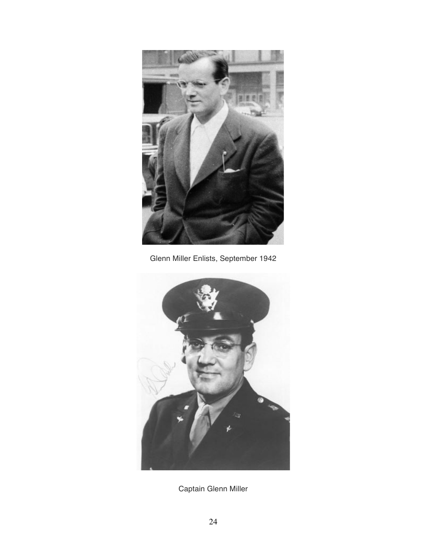

Glenn Miller Enlists, September 1942



Captain Glenn Miller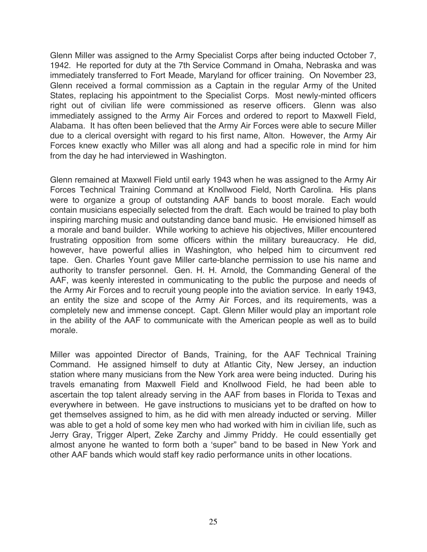Glenn Miller was assigned to the Army Specialist Corps after being inducted October 7, 1942. He reported for duty at the 7th Service Command in Omaha, Nebraska and was immediately transferred to Fort Meade, Maryland for officer training. On November 23, Glenn received a formal commission as a Captain in the regular Army of the United States, replacing his appointment to the Specialist Corps. Most newly-minted officers right out of civilian life were commissioned as reserve officers. Glenn was also immediately assigned to the Army Air Forces and ordered to report to Maxwell Field, Alabama. It has often been believed that the Army Air Forces were able to secure Miller due to a clerical oversight with regard to his first name, Alton. However, the Army Air Forces knew exactly who Miller was all along and had a specific role in mind for him from the day he had interviewed in Washington.

Glenn remained at Maxwell Field until early 1943 when he was assigned to the Army Air Forces Technical Training Command at Knollwood Field, North Carolina. His plans were to organize a group of outstanding AAF bands to boost morale. Each would contain musicians especially selected from the draft. Each would be trained to play both inspiring marching music and outstanding dance band music. He envisioned himself as a morale and band builder. While working to achieve his objectives, Miller encountered frustrating opposition from some officers within the military bureaucracy. He did, however, have powerful allies in Washington, who helped him to circumvent red tape. Gen. Charles Yount gave Miller carte-blanche permission to use his name and authority to transfer personnel. Gen. H. H. Arnold, the Commanding General of the AAF, was keenly interested in communicating to the public the purpose and needs of the Army Air Forces and to recruit young people into the aviation service. In early 1943, an entity the size and scope of the Army Air Forces, and its requirements, was a completely new and immense concept. Capt. Glenn Miller would play an important role in the ability of the AAF to communicate with the American people as well as to build morale.

Miller was appointed Director of Bands, Training, for the AAF Technical Training Command. He assigned himself to duty at Atlantic City, New Jersey, an induction station where many musicians from the New York area were being inducted. During his travels emanating from Maxwell Field and Knollwood Field, he had been able to ascertain the top talent already serving in the AAF from bases in Florida to Texas and everywhere in between. He gave instructions to musicians yet to be drafted on how to get themselves assigned to him, as he did with men already inducted or serving. Miller was able to get a hold of some key men who had worked with him in civilian life, such as Jerry Gray, Trigger Alpert, Zeke Zarchy and Jimmy Priddy. He could essentially get almost anyone he wanted to form both a 'super" band to be based in New York and other AAF bands which would staff key radio performance units in other locations.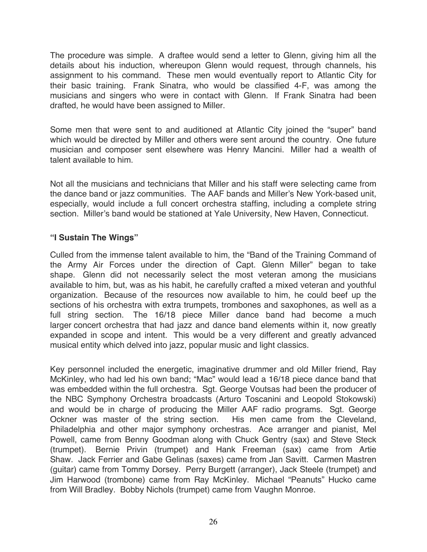The procedure was simple. A draftee would send a letter to Glenn, giving him all the details about his induction, whereupon Glenn would request, through channels, his assignment to his command. These men would eventually report to Atlantic City for their basic training. Frank Sinatra, who would be classified 4-F, was among the musicians and singers who were in contact with Glenn. If Frank Sinatra had been drafted, he would have been assigned to Miller.

Some men that were sent to and auditioned at Atlantic City joined the "super" band which would be directed by Miller and others were sent around the country. One future musician and composer sent elsewhere was Henry Mancini. Miller had a wealth of talent available to him.

Not all the musicians and technicians that Miller and his staff were selecting came from the dance band or jazz communities. The AAF bands and Miller's New York-based unit, especially, would include a full concert orchestra staffing, including a complete string section. Miller's band would be stationed at Yale University, New Haven, Connecticut.

# **"I Sustain The Wings"**

Culled from the immense talent available to him, the "Band of the Training Command of the Army Air Forces under the direction of Capt. Glenn Miller" began to take shape. Glenn did not necessarily select the most veteran among the musicians available to him, but, was as his habit, he carefully crafted a mixed veteran and youthful organization. Because of the resources now available to him, he could beef up the sections of his orchestra with extra trumpets, trombones and saxophones, as well as a full string section. The 16/18 piece Miller dance band had become a much larger concert orchestra that had jazz and dance band elements within it, now greatly expanded in scope and intent. This would be a very different and greatly advanced musical entity which delved into jazz, popular music and light classics.

Key personnel included the energetic, imaginative drummer and old Miller friend, Ray McKinley, who had led his own band; "Mac" would lead a 16/18 piece dance band that was embedded within the full orchestra. Sgt. George Voutsas had been the producer of the NBC Symphony Orchestra broadcasts (Arturo Toscanini and Leopold Stokowski) and would be in charge of producing the Miller AAF radio programs. Sgt. George Ockner was master of the string section. His men came from the Cleveland, Philadelphia and other major symphony orchestras. Ace arranger and pianist, Mel Powell, came from Benny Goodman along with Chuck Gentry (sax) and Steve Steck (trumpet). Bernie Privin (trumpet) and Hank Freeman (sax) came from Artie Shaw. Jack Ferrier and Gabe Gelinas (saxes) came from Jan Savitt. Carmen Mastren (guitar) came from Tommy Dorsey. Perry Burgett (arranger), Jack Steele (trumpet) and Jim Harwood (trombone) came from Ray McKinley. Michael "Peanuts" Hucko came from Will Bradley. Bobby Nichols (trumpet) came from Vaughn Monroe.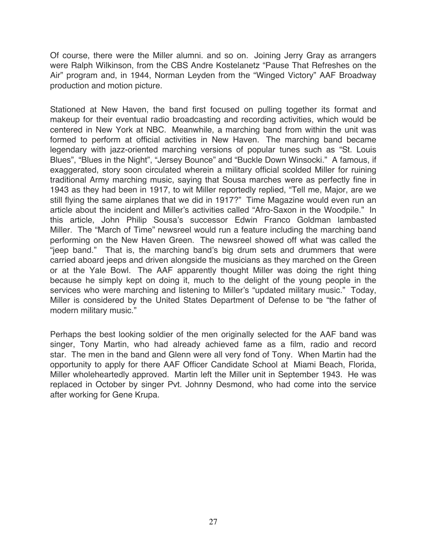Of course, there were the Miller alumni. and so on. Joining Jerry Gray as arrangers were Ralph Wilkinson, from the CBS Andre Kostelanetz "Pause That Refreshes on the Air" program and, in 1944, Norman Leyden from the "Winged Victory" AAF Broadway production and motion picture.

Stationed at New Haven, the band first focused on pulling together its format and makeup for their eventual radio broadcasting and recording activities, which would be centered in New York at NBC. Meanwhile, a marching band from within the unit was formed to perform at official activities in New Haven. The marching band became legendary with jazz-oriented marching versions of popular tunes such as "St. Louis Blues", "Blues in the Night", "Jersey Bounce" and "Buckle Down Winsocki." A famous, if exaggerated, story soon circulated wherein a military official scolded Miller for ruining traditional Army marching music, saying that Sousa marches were as perfectly fine in 1943 as they had been in 1917, to wit Miller reportedly replied, "Tell me, Major, are we still flying the same airplanes that we did in 1917?" Time Magazine would even run an article about the incident and Miller's activities called "Afro-Saxon in the Woodpile." In this article, John Philip Sousa's successor Edwin Franco Goldman lambasted Miller. The "March of Time" newsreel would run a feature including the marching band performing on the New Haven Green. The newsreel showed off what was called the "jeep band." That is, the marching band's big drum sets and drummers that were carried aboard jeeps and driven alongside the musicians as they marched on the Green or at the Yale Bowl. The AAF apparently thought Miller was doing the right thing because he simply kept on doing it, much to the delight of the young people in the services who were marching and listening to Miller's "updated military music." Today, Miller is considered by the United States Department of Defense to be "the father of modern military music."

Perhaps the best looking soldier of the men originally selected for the AAF band was singer, Tony Martin, who had already achieved fame as a film, radio and record star. The men in the band and Glenn were all very fond of Tony. When Martin had the opportunity to apply for there AAF Officer Candidate School at Miami Beach, Florida, Miller wholeheartedly approved. Martin left the Miller unit in September 1943. He was replaced in October by singer Pvt. Johnny Desmond, who had come into the service after working for Gene Krupa.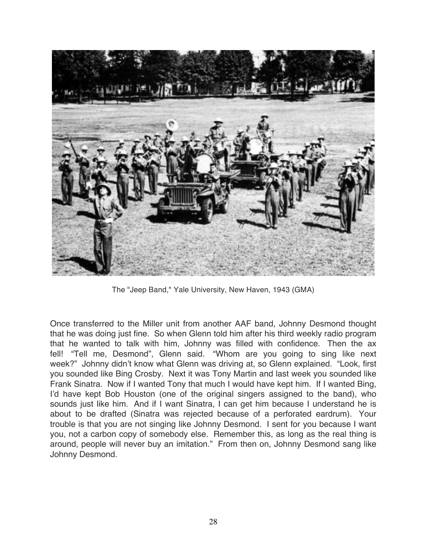

The "Jeep Band," Yale University, New Haven, 1943 (GMA)

Once transferred to the Miller unit from another AAF band, Johnny Desmond thought that he was doing just fine. So when Glenn told him after his third weekly radio program that he wanted to talk with him, Johnny was filled with confidence. Then the ax fell! "Tell me, Desmond", Glenn said. "Whom are you going to sing like next week?" Johnny didn't know what Glenn was driving at, so Glenn explained. "Look, first you sounded like Bing Crosby. Next it was Tony Martin and last week you sounded like Frank Sinatra. Now if I wanted Tony that much I would have kept him. If I wanted Bing, I'd have kept Bob Houston (one of the original singers assigned to the band), who sounds just like him. And if I want Sinatra, I can get him because I understand he is about to be drafted (Sinatra was rejected because of a perforated eardrum). Your trouble is that you are not singing like Johnny Desmond. I sent for you because I want you, not a carbon copy of somebody else. Remember this, as long as the real thing is around, people will never buy an imitation." From then on, Johnny Desmond sang like Johnny Desmond.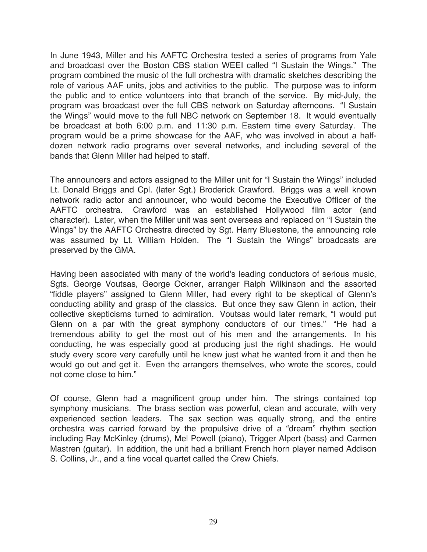In June 1943, Miller and his AAFTC Orchestra tested a series of programs from Yale and broadcast over the Boston CBS station WEEI called "I Sustain the Wings." The program combined the music of the full orchestra with dramatic sketches describing the role of various AAF units, jobs and activities to the public. The purpose was to inform the public and to entice volunteers into that branch of the service. By mid-July, the program was broadcast over the full CBS network on Saturday afternoons. "I Sustain the Wings" would move to the full NBC network on September 18. It would eventually be broadcast at both 6:00 p.m. and 11:30 p.m. Eastern time every Saturday. The program would be a prime showcase for the AAF, who was involved in about a halfdozen network radio programs over several networks, and including several of the bands that Glenn Miller had helped to staff.

The announcers and actors assigned to the Miller unit for "I Sustain the Wings" included Lt. Donald Briggs and Cpl. (later Sgt.) Broderick Crawford. Briggs was a well known network radio actor and announcer, who would become the Executive Officer of the AAFTC orchestra. Crawford was an established Hollywood film actor (and character). Later, when the Miller unit was sent overseas and replaced on "I Sustain the Wings" by the AAFTC Orchestra directed by Sgt. Harry Bluestone, the announcing role was assumed by Lt. William Holden. The "I Sustain the Wings" broadcasts are preserved by the GMA.

Having been associated with many of the world's leading conductors of serious music, Sgts. George Voutsas, George Ockner, arranger Ralph Wilkinson and the assorted "fiddle players" assigned to Glenn Miller, had every right to be skeptical of Glenn's conducting ability and grasp of the classics. But once they saw Glenn in action, their collective skepticisms turned to admiration. Voutsas would later remark, "I would put Glenn on a par with the great symphony conductors of our times." "He had a tremendous ability to get the most out of his men and the arrangements. In his conducting, he was especially good at producing just the right shadings. He would study every score very carefully until he knew just what he wanted from it and then he would go out and get it. Even the arrangers themselves, who wrote the scores, could not come close to him."

Of course, Glenn had a magnificent group under him. The strings contained top symphony musicians. The brass section was powerful, clean and accurate, with very experienced section leaders. The sax section was equally strong, and the entire orchestra was carried forward by the propulsive drive of a "dream" rhythm section including Ray McKinley (drums), Mel Powell (piano), Trigger Alpert (bass) and Carmen Mastren (guitar). In addition, the unit had a brilliant French horn player named Addison S. Collins, Jr., and a fine vocal quartet called the Crew Chiefs.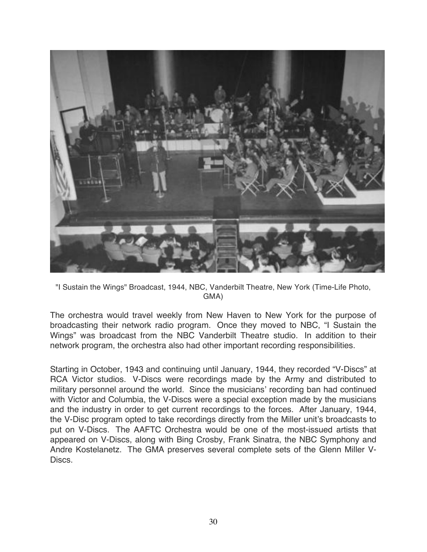

"I Sustain the Wings" Broadcast, 1944, NBC, Vanderbilt Theatre, New York (Time-Life Photo, GMA)

The orchestra would travel weekly from New Haven to New York for the purpose of broadcasting their network radio program. Once they moved to NBC, "I Sustain the Wings" was broadcast from the NBC Vanderbilt Theatre studio. In addition to their network program, the orchestra also had other important recording responsibilities.

Starting in October, 1943 and continuing until January, 1944, they recorded "V-Discs" at RCA Victor studios. V-Discs were recordings made by the Army and distributed to military personnel around the world. Since the musicians' recording ban had continued with Victor and Columbia, the V-Discs were a special exception made by the musicians and the industry in order to get current recordings to the forces. After January, 1944, the V-Disc program opted to take recordings directly from the Miller unit's broadcasts to put on V-Discs. The AAFTC Orchestra would be one of the most-issued artists that appeared on V-Discs, along with Bing Crosby, Frank Sinatra, the NBC Symphony and Andre Kostelanetz. The GMA preserves several complete sets of the Glenn Miller V-Discs.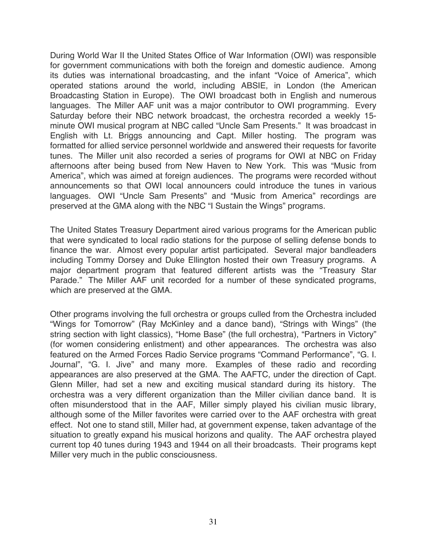During World War II the United States Office of War Information (OWI) was responsible for government communications with both the foreign and domestic audience. Among its duties was international broadcasting, and the infant "Voice of America", which operated stations around the world, including ABSIE, in London (the American Broadcasting Station in Europe). The OWI broadcast both in English and numerous languages. The Miller AAF unit was a major contributor to OWI programming. Every Saturday before their NBC network broadcast, the orchestra recorded a weekly 15 minute OWI musical program at NBC called "Uncle Sam Presents." It was broadcast in English with Lt. Briggs announcing and Capt. Miller hosting. The program was formatted for allied service personnel worldwide and answered their requests for favorite tunes. The Miller unit also recorded a series of programs for OWI at NBC on Friday afternoons after being bused from New Haven to New York. This was "Music from America", which was aimed at foreign audiences. The programs were recorded without announcements so that OWI local announcers could introduce the tunes in various languages. OWI "Uncle Sam Presents" and "Music from America" recordings are preserved at the GMA along with the NBC "I Sustain the Wings" programs.

The United States Treasury Department aired various programs for the American public that were syndicated to local radio stations for the purpose of selling defense bonds to finance the war. Almost every popular artist participated. Several major bandleaders including Tommy Dorsey and Duke Ellington hosted their own Treasury programs. A major department program that featured different artists was the "Treasury Star Parade." The Miller AAF unit recorded for a number of these syndicated programs, which are preserved at the GMA.

Other programs involving the full orchestra or groups culled from the Orchestra included "Wings for Tomorrow" (Ray McKinley and a dance band), "Strings with Wings" (the string section with light classics), "Home Base" (the full orchestra), "Partners in Victory" (for women considering enlistment) and other appearances. The orchestra was also featured on the Armed Forces Radio Service programs "Command Performance", "G. I. Journal", "G. I. Jive" and many more. Examples of these radio and recording appearances are also preserved at the GMA. The AAFTC, under the direction of Capt. Glenn Miller, had set a new and exciting musical standard during its history. The orchestra was a very different organization than the Miller civilian dance band. It is often misunderstood that in the AAF, Miller simply played his civilian music library, although some of the Miller favorites were carried over to the AAF orchestra with great effect. Not one to stand still, Miller had, at government expense, taken advantage of the situation to greatly expand his musical horizons and quality. The AAF orchestra played current top 40 tunes during 1943 and 1944 on all their broadcasts. Their programs kept Miller very much in the public consciousness.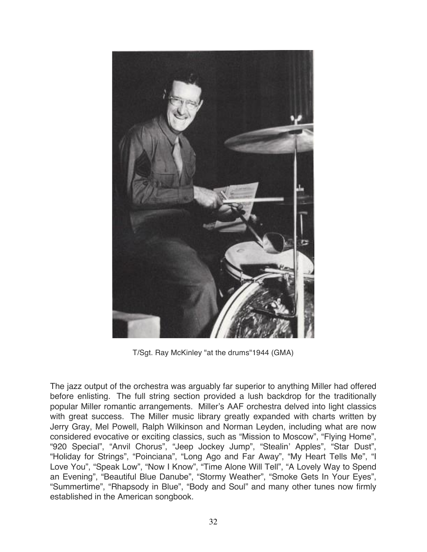

T/Sgt. Ray McKinley "at the drums"1944 (GMA)

The jazz output of the orchestra was arguably far superior to anything Miller had offered before enlisting. The full string section provided a lush backdrop for the traditionally popular Miller romantic arrangements. Miller's AAF orchestra delved into light classics with great success. The Miller music library greatly expanded with charts written by Jerry Gray, Mel Powell, Ralph Wilkinson and Norman Leyden, including what are now considered evocative or exciting classics, such as "Mission to Moscow", "Flying Home", "920 Special", "Anvil Chorus", "Jeep Jockey Jump", "Stealin' Apples", "Star Dust", "Holiday for Strings", "Poinciana", "Long Ago and Far Away", "My Heart Tells Me", "I Love You", "Speak Low", "Now I Know", "Time Alone Will Tell", "A Lovely Way to Spend an Evening", "Beautiful Blue Danube", "Stormy Weather", "Smoke Gets In Your Eyes", "Summertime", "Rhapsody in Blue", "Body and Soul" and many other tunes now firmly established in the American songbook.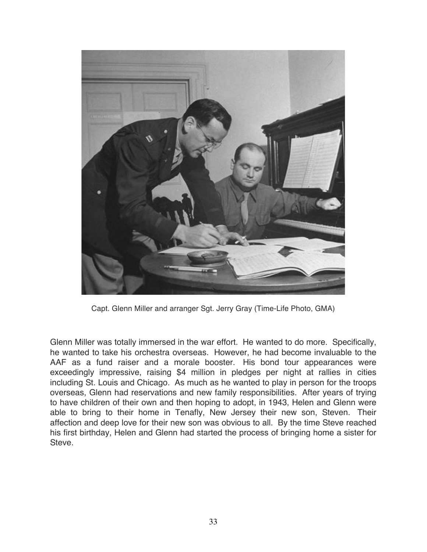

Capt. Glenn Miller and arranger Sgt. Jerry Gray (Time-Life Photo, GMA)

Glenn Miller was totally immersed in the war effort. He wanted to do more. Specifically, he wanted to take his orchestra overseas. However, he had become invaluable to the AAF as a fund raiser and a morale booster. His bond tour appearances were exceedingly impressive, raising \$4 million in pledges per night at rallies in cities including St. Louis and Chicago. As much as he wanted to play in person for the troops overseas, Glenn had reservations and new family responsibilities. After years of trying to have children of their own and then hoping to adopt, in 1943, Helen and Glenn were able to bring to their home in Tenafly, New Jersey their new son, Steven. Their affection and deep love for their new son was obvious to all. By the time Steve reached his first birthday, Helen and Glenn had started the process of bringing home a sister for Steve.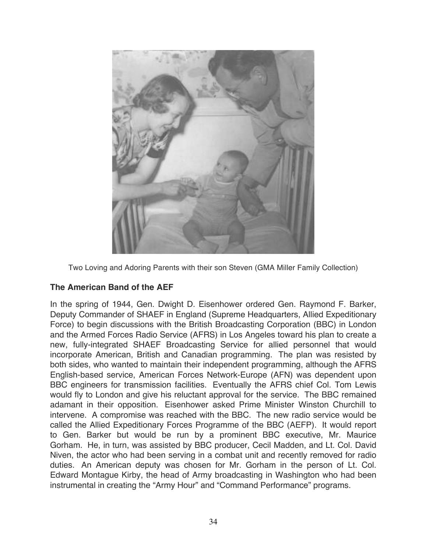

Two Loving and Adoring Parents with their son Steven (GMA Miller Family Collection)

# **The American Band of the AEF**

In the spring of 1944, Gen. Dwight D. Eisenhower ordered Gen. Raymond F. Barker, Deputy Commander of SHAEF in England (Supreme Headquarters, Allied Expeditionary Force) to begin discussions with the British Broadcasting Corporation (BBC) in London and the Armed Forces Radio Service (AFRS) in Los Angeles toward his plan to create a new, fully-integrated SHAEF Broadcasting Service for allied personnel that would incorporate American, British and Canadian programming. The plan was resisted by both sides, who wanted to maintain their independent programming, although the AFRS English-based service, American Forces Network-Europe (AFN) was dependent upon BBC engineers for transmission facilities. Eventually the AFRS chief Col. Tom Lewis would fly to London and give his reluctant approval for the service. The BBC remained adamant in their opposition. Eisenhower asked Prime Minister Winston Churchill to intervene. A compromise was reached with the BBC. The new radio service would be called the Allied Expeditionary Forces Programme of the BBC (AEFP). It would report to Gen. Barker but would be run by a prominent BBC executive, Mr. Maurice Gorham. He, in turn, was assisted by BBC producer, Cecil Madden, and Lt. Col. David Niven, the actor who had been serving in a combat unit and recently removed for radio duties. An American deputy was chosen for Mr. Gorham in the person of Lt. Col. Edward Montague Kirby, the head of Army broadcasting in Washington who had been instrumental in creating the "Army Hour" and "Command Performance" programs.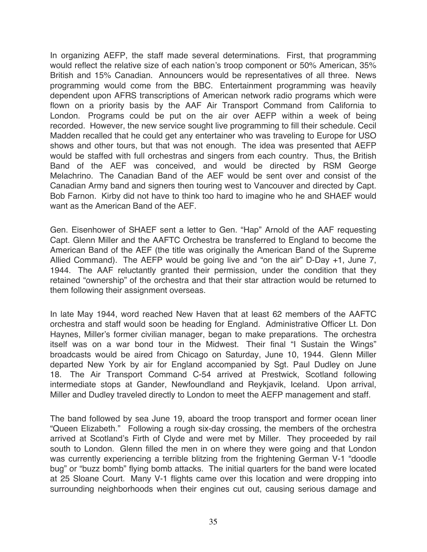In organizing AEFP, the staff made several determinations. First, that programming would reflect the relative size of each nation's troop component or 50% American, 35% British and 15% Canadian. Announcers would be representatives of all three. News programming would come from the BBC. Entertainment programming was heavily dependent upon AFRS transcriptions of American network radio programs which were flown on a priority basis by the AAF Air Transport Command from California to London. Programs could be put on the air over AEFP within a week of being recorded. However, the new service sought live programming to fill their schedule. Cecil Madden recalled that he could get any entertainer who was traveling to Europe for USO shows and other tours, but that was not enough. The idea was presented that AEFP would be staffed with full orchestras and singers from each country. Thus, the British Band of the AEF was conceived, and would be directed by RSM George Melachrino. The Canadian Band of the AEF would be sent over and consist of the Canadian Army band and signers then touring west to Vancouver and directed by Capt. Bob Farnon. Kirby did not have to think too hard to imagine who he and SHAEF would want as the American Band of the AEF.

Gen. Eisenhower of SHAEF sent a letter to Gen. "Hap" Arnold of the AAF requesting Capt. Glenn Miller and the AAFTC Orchestra be transferred to England to become the American Band of the AEF (the title was originally the American Band of the Supreme Allied Command). The AEFP would be going live and "on the air" D-Day +1, June 7, 1944. The AAF reluctantly granted their permission, under the condition that they retained "ownership" of the orchestra and that their star attraction would be returned to them following their assignment overseas.

In late May 1944, word reached New Haven that at least 62 members of the AAFTC orchestra and staff would soon be heading for England. Administrative Officer Lt. Don Haynes, Miller's former civilian manager, began to make preparations. The orchestra itself was on a war bond tour in the Midwest. Their final "I Sustain the Wings" broadcasts would be aired from Chicago on Saturday, June 10, 1944. Glenn Miller departed New York by air for England accompanied by Sgt. Paul Dudley on June 18. The Air Transport Command C-54 arrived at Prestwick, Scotland following intermediate stops at Gander, Newfoundland and Reykjavik, Iceland. Upon arrival, Miller and Dudley traveled directly to London to meet the AEFP management and staff.

The band followed by sea June 19, aboard the troop transport and former ocean liner "Queen Elizabeth." Following a rough six-day crossing, the members of the orchestra arrived at Scotland's Firth of Clyde and were met by Miller. They proceeded by rail south to London. Glenn filled the men in on where they were going and that London was currently experiencing a terrible blitzing from the frightening German V-1 "doodle bug" or "buzz bomb" flying bomb attacks. The initial quarters for the band were located at 25 Sloane Court. Many V-1 flights came over this location and were dropping into surrounding neighborhoods when their engines cut out, causing serious damage and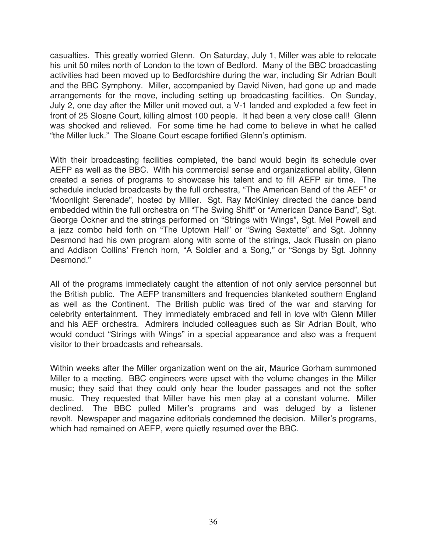casualties. This greatly worried Glenn. On Saturday, July 1, Miller was able to relocate his unit 50 miles north of London to the town of Bedford. Many of the BBC broadcasting activities had been moved up to Bedfordshire during the war, including Sir Adrian Boult and the BBC Symphony. Miller, accompanied by David Niven, had gone up and made arrangements for the move, including setting up broadcasting facilities. On Sunday, July 2, one day after the Miller unit moved out, a V-1 landed and exploded a few feet in front of 25 Sloane Court, killing almost 100 people. It had been a very close call! Glenn was shocked and relieved. For some time he had come to believe in what he called "the Miller luck." The Sloane Court escape fortified Glenn's optimism.

With their broadcasting facilities completed, the band would begin its schedule over AEFP as well as the BBC. With his commercial sense and organizational ability, Glenn created a series of programs to showcase his talent and to fill AEFP air time. The schedule included broadcasts by the full orchestra, "The American Band of the AEF" or "Moonlight Serenade", hosted by Miller. Sgt. Ray McKinley directed the dance band embedded within the full orchestra on "The Swing Shift" or "American Dance Band", Sgt. George Ockner and the strings performed on "Strings with Wings", Sgt. Mel Powell and a jazz combo held forth on "The Uptown Hall" or "Swing Sextette" and Sgt. Johnny Desmond had his own program along with some of the strings, Jack Russin on piano and Addison Collins' French horn, "A Soldier and a Song," or "Songs by Sgt. Johnny Desmond."

All of the programs immediately caught the attention of not only service personnel but the British public. The AEFP transmitters and frequencies blanketed southern England as well as the Continent. The British public was tired of the war and starving for celebrity entertainment. They immediately embraced and fell in love with Glenn Miller and his AEF orchestra. Admirers included colleagues such as Sir Adrian Boult, who would conduct "Strings with Wings" in a special appearance and also was a frequent visitor to their broadcasts and rehearsals.

Within weeks after the Miller organization went on the air, Maurice Gorham summoned Miller to a meeting. BBC engineers were upset with the volume changes in the Miller music; they said that they could only hear the louder passages and not the softer music. They requested that Miller have his men play at a constant volume. Miller declined. The BBC pulled Miller's programs and was deluged by a listener revolt. Newspaper and magazine editorials condemned the decision. Miller's programs, which had remained on AEFP, were quietly resumed over the BBC.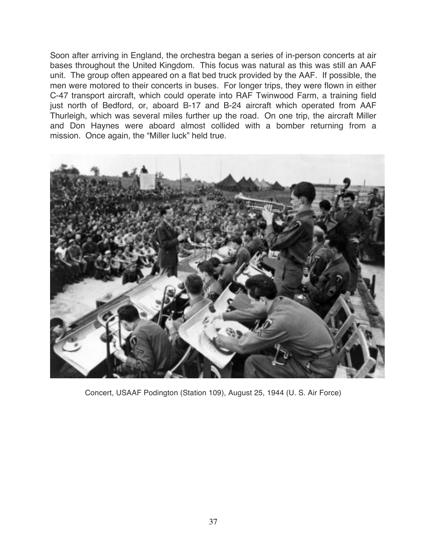Soon after arriving in England, the orchestra began a series of in-person concerts at air bases throughout the United Kingdom. This focus was natural as this was still an AAF unit. The group often appeared on a flat bed truck provided by the AAF. If possible, the men were motored to their concerts in buses. For longer trips, they were flown in either C-47 transport aircraft, which could operate into RAF Twinwood Farm, a training field just north of Bedford, or, aboard B-17 and B-24 aircraft which operated from AAF Thurleigh, which was several miles further up the road. On one trip, the aircraft Miller and Don Haynes were aboard almost collided with a bomber returning from a mission. Once again, the "Miller luck" held true.



Concert, USAAF Podington (Station 109), August 25, 1944 (U. S. Air Force)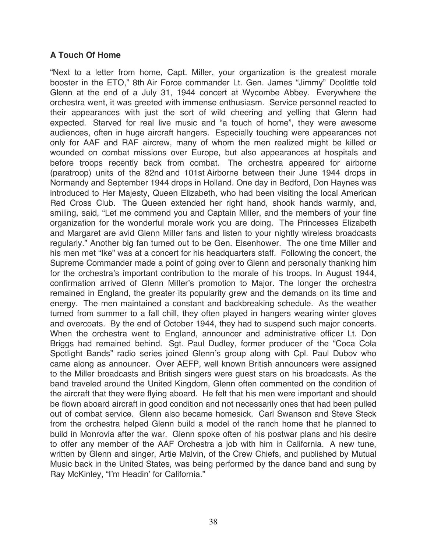# **A Touch Of Home**

"Next to a letter from home, Capt. Miller, your organization is the greatest morale booster in the ETO," 8th Air Force commander Lt. Gen. James "Jimmy" Doolittle told Glenn at the end of a July 31, 1944 concert at Wycombe Abbey. Everywhere the orchestra went, it was greeted with immense enthusiasm. Service personnel reacted to their appearances with just the sort of wild cheering and yelling that Glenn had expected. Starved for real live music and "a touch of home", they were awesome audiences, often in huge aircraft hangers. Especially touching were appearances not only for AAF and RAF aircrew, many of whom the men realized might be killed or wounded on combat missions over Europe, but also appearances at hospitals and before troops recently back from combat. The orchestra appeared for airborne (paratroop) units of the 82nd and 101st Airborne between their June 1944 drops in Normandy and September 1944 drops in Holland. One day in Bedford, Don Haynes was introduced to Her Majesty, Queen Elizabeth, who had been visiting the local American Red Cross Club. The Queen extended her right hand, shook hands warmly, and, smiling, said, "Let me commend you and Captain Miller, and the members of your fine organization for the wonderful morale work you are doing. The Princesses Elizabeth and Margaret are avid Glenn Miller fans and listen to your nightly wireless broadcasts regularly." Another big fan turned out to be Gen. Eisenhower. The one time Miller and his men met "Ike" was at a concert for his headquarters staff. Following the concert, the Supreme Commander made a point of going over to Glenn and personally thanking him for the orchestra's important contribution to the morale of his troops. In August 1944, confirmation arrived of Glenn Miller's promotion to Major. The longer the orchestra remained in England, the greater its popularity grew and the demands on its time and energy. The men maintained a constant and backbreaking schedule. As the weather turned from summer to a fall chill, they often played in hangers wearing winter gloves and overcoats. By the end of October 1944, they had to suspend such major concerts. When the orchestra went to England, announcer and administrative officer Lt. Don Briggs had remained behind. Sgt. Paul Dudley, former producer of the "Coca Cola Spotlight Bands" radio series joined Glenn's group along with Cpl. Paul Dubov who came along as announcer. Over AEFP, well known British announcers were assigned to the Miller broadcasts and British singers were guest stars on his broadcasts. As the band traveled around the United Kingdom, Glenn often commented on the condition of the aircraft that they were flying aboard. He felt that his men were important and should be flown aboard aircraft in good condition and not necessarily ones that had been pulled out of combat service. Glenn also became homesick. Carl Swanson and Steve Steck from the orchestra helped Glenn build a model of the ranch home that he planned to build in Monrovia after the war. Glenn spoke often of his postwar plans and his desire to offer any member of the AAF Orchestra a job with him in California. A new tune, written by Glenn and singer, Artie Malvin, of the Crew Chiefs, and published by Mutual Music back in the United States, was being performed by the dance band and sung by Ray McKinley, "I'm Headin' for California."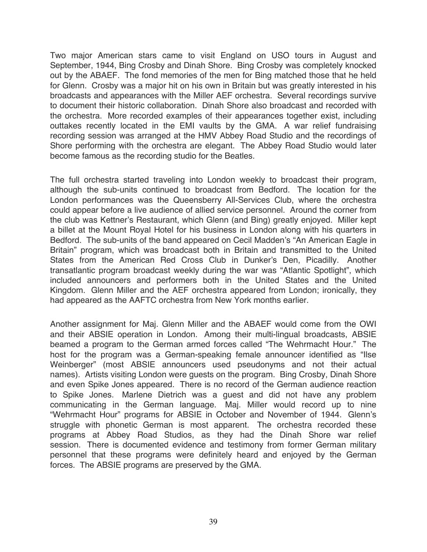Two major American stars came to visit England on USO tours in August and September, 1944, Bing Crosby and Dinah Shore. Bing Crosby was completely knocked out by the ABAEF. The fond memories of the men for Bing matched those that he held for Glenn. Crosby was a major hit on his own in Britain but was greatly interested in his broadcasts and appearances with the Miller AEF orchestra. Several recordings survive to document their historic collaboration. Dinah Shore also broadcast and recorded with the orchestra. More recorded examples of their appearances together exist, including outtakes recently located in the EMI vaults by the GMA. A war relief fundraising recording session was arranged at the HMV Abbey Road Studio and the recordings of Shore performing with the orchestra are elegant. The Abbey Road Studio would later become famous as the recording studio for the Beatles.

The full orchestra started traveling into London weekly to broadcast their program, although the sub-units continued to broadcast from Bedford. The location for the London performances was the Queensberry All-Services Club, where the orchestra could appear before a live audience of allied service personnel. Around the corner from the club was Kettner's Restaurant, which Glenn (and Bing) greatly enjoyed. Miller kept a billet at the Mount Royal Hotel for his business in London along with his quarters in Bedford. The sub-units of the band appeared on Cecil Madden's "An American Eagle in Britain" program, which was broadcast both in Britain and transmitted to the United States from the American Red Cross Club in Dunker's Den, Picadilly. Another transatlantic program broadcast weekly during the war was "Atlantic Spotlight", which included announcers and performers both in the United States and the United Kingdom. Glenn Miller and the AEF orchestra appeared from London; ironically, they had appeared as the AAFTC orchestra from New York months earlier.

Another assignment for Maj. Glenn Miller and the ABAEF would come from the OWI and their ABSIE operation in London. Among their multi-lingual broadcasts, ABSIE beamed a program to the German armed forces called "The Wehrmacht Hour." The host for the program was a German-speaking female announcer identified as "Ilse Weinberger" (most ABSIE announcers used pseudonyms and not their actual names). Artists visiting London were guests on the program. Bing Crosby, Dinah Shore and even Spike Jones appeared. There is no record of the German audience reaction to Spike Jones. Marlene Dietrich was a guest and did not have any problem communicating in the German language. Maj. Miller would record up to nine "Wehrmacht Hour" programs for ABSIE in October and November of 1944. Glenn's struggle with phonetic German is most apparent. The orchestra recorded these programs at Abbey Road Studios, as they had the Dinah Shore war relief session. There is documented evidence and testimony from former German military personnel that these programs were definitely heard and enjoyed by the German forces. The ABSIE programs are preserved by the GMA.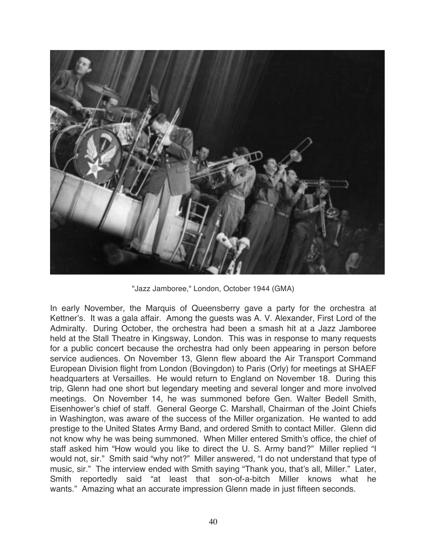

"Jazz Jamboree," London, October 1944 (GMA)

In early November, the Marquis of Queensberry gave a party for the orchestra at Kettner's. It was a gala affair. Among the guests was A. V. Alexander, First Lord of the Admiralty. During October, the orchestra had been a smash hit at a Jazz Jamboree held at the Stall Theatre in Kingsway, London. This was in response to many requests for a public concert because the orchestra had only been appearing in person before service audiences. On November 13, Glenn flew aboard the Air Transport Command European Division flight from London (Bovingdon) to Paris (Orly) for meetings at SHAEF headquarters at Versailles. He would return to England on November 18. During this trip, Glenn had one short but legendary meeting and several longer and more involved meetings. On November 14, he was summoned before Gen. Walter Bedell Smith, Eisenhower's chief of staff. General George C. Marshall, Chairman of the Joint Chiefs in Washington, was aware of the success of the Miller organization. He wanted to add prestige to the United States Army Band, and ordered Smith to contact Miller. Glenn did not know why he was being summoned. When Miller entered Smith's office, the chief of staff asked him "How would you like to direct the U. S. Army band?" Miller replied "I would not, sir." Smith said "why not?" Miller answered, "I do not understand that type of music, sir." The interview ended with Smith saying "Thank you, that's all, Miller." Later, Smith reportedly said "at least that son-of-a-bitch Miller knows what he wants." Amazing what an accurate impression Glenn made in just fifteen seconds.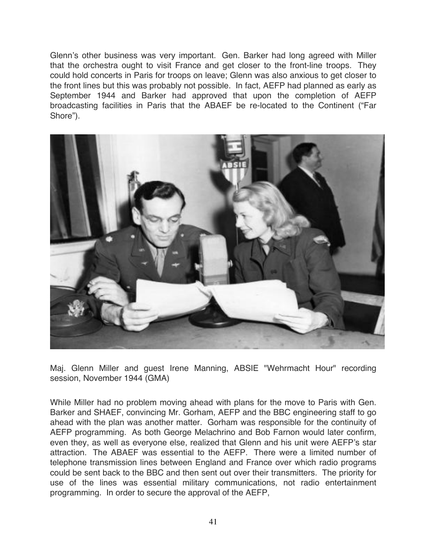Glenn's other business was very important. Gen. Barker had long agreed with Miller that the orchestra ought to visit France and get closer to the front-line troops. They could hold concerts in Paris for troops on leave; Glenn was also anxious to get closer to the front lines but this was probably not possible. In fact, AEFP had planned as early as September 1944 and Barker had approved that upon the completion of AEFP broadcasting facilities in Paris that the ABAEF be re-located to the Continent ("Far Shore").



Maj. Glenn Miller and guest Irene Manning, ABSIE "Wehrmacht Hour" recording session, November 1944 (GMA)

While Miller had no problem moving ahead with plans for the move to Paris with Gen. Barker and SHAEF, convincing Mr. Gorham, AEFP and the BBC engineering staff to go ahead with the plan was another matter. Gorham was responsible for the continuity of AEFP programming. As both George Melachrino and Bob Farnon would later confirm, even they, as well as everyone else, realized that Glenn and his unit were AEFP's star attraction. The ABAEF was essential to the AEFP. There were a limited number of telephone transmission lines between England and France over which radio programs could be sent back to the BBC and then sent out over their transmitters. The priority for use of the lines was essential military communications, not radio entertainment programming. In order to secure the approval of the AEFP,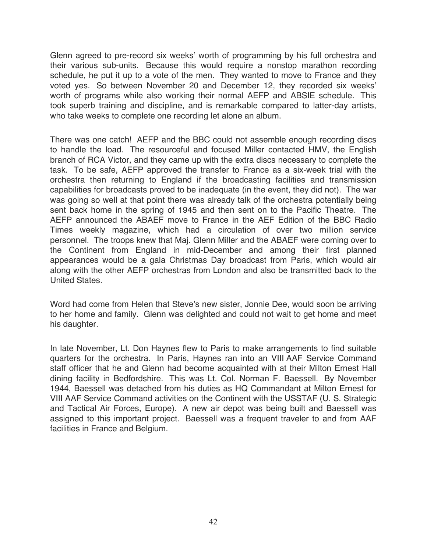Glenn agreed to pre-record six weeks' worth of programming by his full orchestra and their various sub-units. Because this would require a nonstop marathon recording schedule, he put it up to a vote of the men. They wanted to move to France and they voted yes. So between November 20 and December 12, they recorded six weeks' worth of programs while also working their normal AEFP and ABSIE schedule. This took superb training and discipline, and is remarkable compared to latter-day artists, who take weeks to complete one recording let alone an album.

There was one catch! AEFP and the BBC could not assemble enough recording discs to handle the load. The resourceful and focused Miller contacted HMV, the English branch of RCA Victor, and they came up with the extra discs necessary to complete the task. To be safe, AEFP approved the transfer to France as a six-week trial with the orchestra then returning to England if the broadcasting facilities and transmission capabilities for broadcasts proved to be inadequate (in the event, they did not). The war was going so well at that point there was already talk of the orchestra potentially being sent back home in the spring of 1945 and then sent on to the Pacific Theatre. The AEFP announced the ABAEF move to France in the AEF Edition of the BBC Radio Times weekly magazine, which had a circulation of over two million service personnel. The troops knew that Maj. Glenn Miller and the ABAEF were coming over to the Continent from England in mid-December and among their first planned appearances would be a gala Christmas Day broadcast from Paris, which would air along with the other AEFP orchestras from London and also be transmitted back to the United States.

Word had come from Helen that Steve's new sister, Jonnie Dee, would soon be arriving to her home and family. Glenn was delighted and could not wait to get home and meet his daughter.

In late November, Lt. Don Haynes flew to Paris to make arrangements to find suitable quarters for the orchestra. In Paris, Haynes ran into an VIII AAF Service Command staff officer that he and Glenn had become acquainted with at their Milton Ernest Hall dining facility in Bedfordshire. This was Lt. Col. Norman F. Baessell. By November 1944, Baessell was detached from his duties as HQ Commandant at Milton Ernest for VIII AAF Service Command activities on the Continent with the USSTAF (U. S. Strategic and Tactical Air Forces, Europe). A new air depot was being built and Baessell was assigned to this important project. Baessell was a frequent traveler to and from AAF facilities in France and Belgium.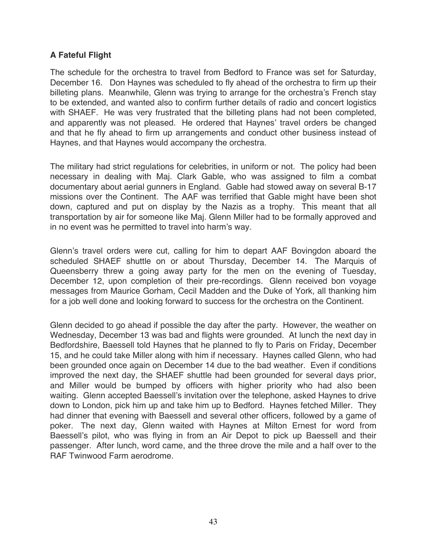# **A Fateful Flight**

The schedule for the orchestra to travel from Bedford to France was set for Saturday, December 16. Don Haynes was scheduled to fly ahead of the orchestra to firm up their billeting plans. Meanwhile, Glenn was trying to arrange for the orchestra's French stay to be extended, and wanted also to confirm further details of radio and concert logistics with SHAEF. He was very frustrated that the billeting plans had not been completed, and apparently was not pleased. He ordered that Haynes' travel orders be changed and that he fly ahead to firm up arrangements and conduct other business instead of Haynes, and that Haynes would accompany the orchestra.

The military had strict regulations for celebrities, in uniform or not. The policy had been necessary in dealing with Maj. Clark Gable, who was assigned to film a combat documentary about aerial gunners in England. Gable had stowed away on several B-17 missions over the Continent. The AAF was terrified that Gable might have been shot down, captured and put on display by the Nazis as a trophy. This meant that all transportation by air for someone like Maj. Glenn Miller had to be formally approved and in no event was he permitted to travel into harm's way.

Glenn's travel orders were cut, calling for him to depart AAF Bovingdon aboard the scheduled SHAEF shuttle on or about Thursday, December 14. The Marquis of Queensberry threw a going away party for the men on the evening of Tuesday, December 12, upon completion of their pre-recordings. Glenn received bon voyage messages from Maurice Gorham, Cecil Madden and the Duke of York, all thanking him for a job well done and looking forward to success for the orchestra on the Continent.

Glenn decided to go ahead if possible the day after the party. However, the weather on Wednesday, December 13 was bad and flights were grounded. At lunch the next day in Bedfordshire, Baessell told Haynes that he planned to fly to Paris on Friday, December 15, and he could take Miller along with him if necessary. Haynes called Glenn, who had been grounded once again on December 14 due to the bad weather. Even if conditions improved the next day, the SHAEF shuttle had been grounded for several days prior, and Miller would be bumped by officers with higher priority who had also been waiting. Glenn accepted Baessell's invitation over the telephone, asked Haynes to drive down to London, pick him up and take him up to Bedford. Haynes fetched Miller. They had dinner that evening with Baessell and several other officers, followed by a game of poker. The next day, Glenn waited with Haynes at Milton Ernest for word from Baessell's pilot, who was flying in from an Air Depot to pick up Baessell and their passenger. After lunch, word came, and the three drove the mile and a half over to the RAF Twinwood Farm aerodrome.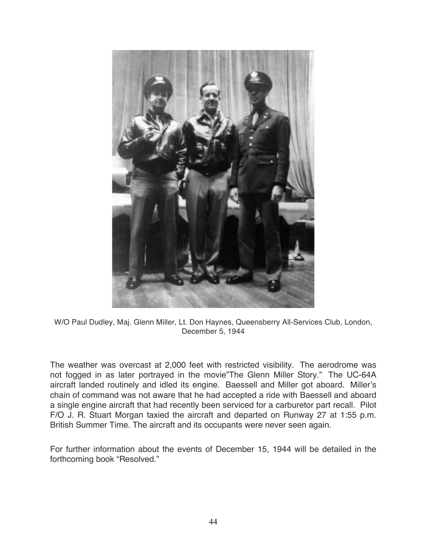

W/O Paul Dudley, Maj. Glenn Miller, Lt. Don Haynes, Queensberry All-Services Club, London, December 5, 1944

The weather was overcast at 2,000 feet with restricted visibility. The aerodrome was not fogged in as later portrayed in the movie"The Glenn Miller Story." The UC-64A aircraft landed routinely and idled its engine. Baessell and Miller got aboard. Miller's chain of command was not aware that he had accepted a ride with Baessell and aboard a single engine aircraft that had recently been serviced for a carburetor part recall. Pilot F/O J. R. Stuart Morgan taxied the aircraft and departed on Runway 27 at 1:55 p.m. British Summer Time. The aircraft and its occupants were never seen again.

For further information about the events of December 15, 1944 will be detailed in the forthcoming book "Resolved."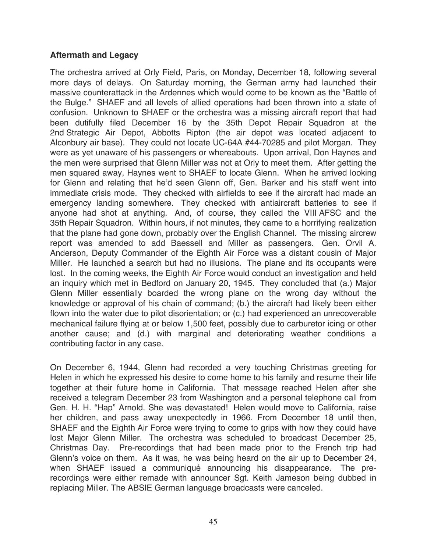# **Aftermath and Legacy**

The orchestra arrived at Orly Field, Paris, on Monday, December 18, following several more days of delays. On Saturday morning, the German army had launched their massive counterattack in the Ardennes which would come to be known as the "Battle of the Bulge." SHAEF and all levels of allied operations had been thrown into a state of confusion. Unknown to SHAEF or the orchestra was a missing aircraft report that had been dutifully filed December 16 by the 35th Depot Repair Squadron at the 2nd Strategic Air Depot, Abbotts Ripton (the air depot was located adjacent to Alconbury air base). They could not locate UC-64A #44-70285 and pilot Morgan. They were as yet unaware of his passengers or whereabouts. Upon arrival, Don Haynes and the men were surprised that Glenn Miller was not at Orly to meet them. After getting the men squared away, Haynes went to SHAEF to locate Glenn. When he arrived looking for Glenn and relating that he'd seen Glenn off, Gen. Barker and his staff went into immediate crisis mode. They checked with airfields to see if the aircraft had made an emergency landing somewhere. They checked with antiaircraft batteries to see if anyone had shot at anything. And, of course, they called the VIII AFSC and the 35th Repair Squadron. Within hours, if not minutes, they came to a horrifying realization that the plane had gone down, probably over the English Channel. The missing aircrew report was amended to add Baessell and Miller as passengers. Gen. Orvil A. Anderson, Deputy Commander of the Eighth Air Force was a distant cousin of Major Miller. He launched a search but had no illusions. The plane and its occupants were lost. In the coming weeks, the Eighth Air Force would conduct an investigation and held an inquiry which met in Bedford on January 20, 1945. They concluded that (a.) Major Glenn Miller essentially boarded the wrong plane on the wrong day without the knowledge or approval of his chain of command; (b.) the aircraft had likely been either flown into the water due to pilot disorientation; or (c.) had experienced an unrecoverable mechanical failure flying at or below 1,500 feet, possibly due to carburetor icing or other another cause; and (d.) with marginal and deteriorating weather conditions a contributing factor in any case.

On December 6, 1944, Glenn had recorded a very touching Christmas greeting for Helen in which he expressed his desire to come home to his family and resume their life together at their future home in California. That message reached Helen after she received a telegram December 23 from Washington and a personal telephone call from Gen. H. H. "Hap" Arnold. She was devastated! Helen would move to California, raise her children, and pass away unexpectedly in 1966. From December 18 until then, SHAEF and the Eighth Air Force were trying to come to grips with how they could have lost Major Glenn Miller. The orchestra was scheduled to broadcast December 25, Christmas Day. Pre-recordings that had been made prior to the French trip had Glenn's voice on them. As it was, he was being heard on the air up to December 24, when SHAEF issued a communiqué announcing his disappearance. The prerecordings were either remade with announcer Sgt. Keith Jameson being dubbed in replacing Miller. The ABSIE German language broadcasts were canceled.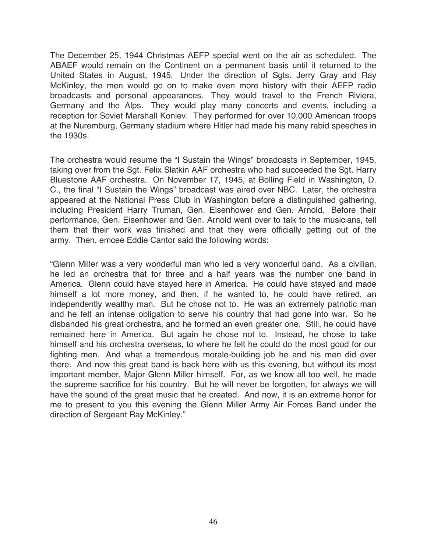The December 25, 1944 Christmas AEFP special went on the air as scheduled. The ABAEF would remain on the Continent on a permanent basis until it returned to the United States in August, 1945. Under the direction of Sgts. Jerry Gray and Ray McKinley, the men would go on to make even more history with their AEFP radio broadcasts and personal appearances. They would travel to the French Riviera, Germany and the Alps. They would play many concerts and events, including a reception for Soviet Marshall Koniev. They performed for over 10,000 American troops at the Nuremburg, Germany stadium where Hitler had made his many rabid speeches in the 1930s.

The orchestra would resume the "I Sustain the Wings" broadcasts in September, 1945, taking over from the Sgt. Felix Slatkin AAF orchestra who had succeeded the Sgt. Harry Bluestone AAF orchestra. On November 17, 1945, at Bolling Field in Washington, D. C., the final "I Sustain the Wings" broadcast was aired over NBC. Later, the orchestra appeared at the National Press Club in Washington before a distinguished gathering, including President Harry Truman, Gen. Eisenhower and Gen. Arnold. Before their performance, Gen. Eisenhower and Gen. Arnold went over to talk to the musicians, tell them that their work was finished and that they were officially getting out of the army. Then, emcee Eddie Cantor said the following words:

"Glenn Miller was a very wonderful man who led a very wonderful band. As a civilian, he led an orchestra that for three and a half years was the number one band in America. Glenn could have stayed here in America. He could have stayed and made himself a lot more money, and then, if he wanted to, he could have retired, an independently wealthy man. But he chose not to. He was an extremely patriotic man and he felt an intense obligation to serve his country that had gone into war. So he disbanded his great orchestra, and he formed an even greater one. Still, he could have remained here in America. But again he chose not to. Instead, he chose to take himself and his orchestra overseas, to where he felt he could do the most good for our fighting men. And what a tremendous morale-building job he and his men did over there. And now this great band is back here with us this evening, but without its most important member, Major Glenn Miller himself. For, as we know all too well, he made the supreme sacrifice for his country. But he will never be forgotten, for always we will have the sound of the great music that he created. And now, it is an extreme honor for me to present to you this evening the Glenn Miller Army Air Forces Band under the direction of Sergeant Ray McKinley."